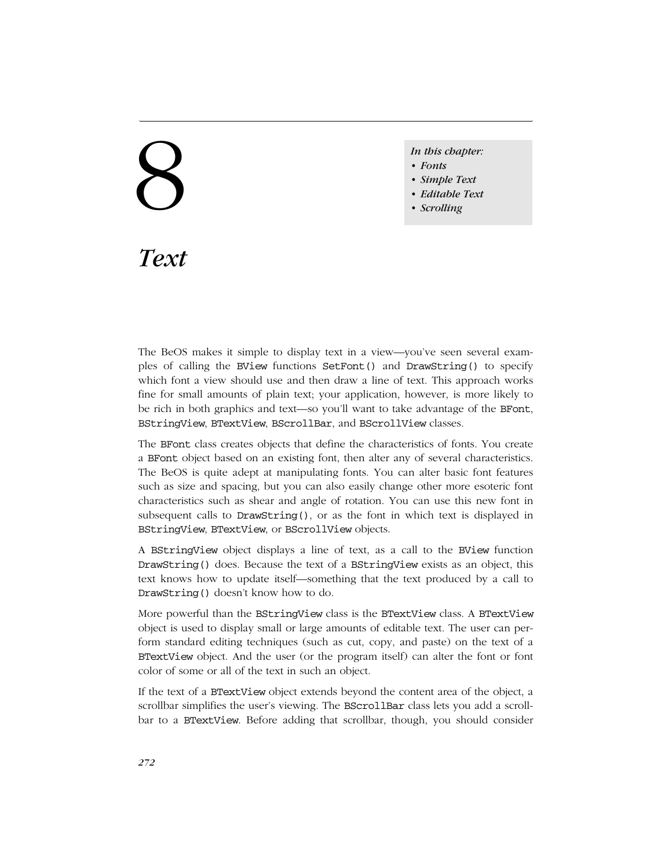# *In this chapter:*<br>
• Fonts<br>
• Simple Text<br>
• Editable Text<br>
• Scrolling

 $Text$ 

### *In this chapter:*

- *Fonts*
- *Simple Text*
- 
- 

The BeOS makes it simple to display text in a view—you've seen several examples of calling the BView functions SetFont() and DrawString() to specify which font a view should use and then draw a line of text. This approach works fine for small amounts of plain text; your application, however, is more likely to be rich in both graphics and text—so you'll want to take advantage of the BFont, BStringView, BTextView, BScrollBar, and BScrollView classes.

The BFont class creates objects that define the characteristics of fonts. You create a BFont object based on an existing font, then alter any of several characteristics. The BeOS is quite adept at manipulating fonts. You can alter basic font features such as size and spacing, but you can also easily change other more esoteric font characteristics such as shear and angle of rotation. You can use this new font in subsequent calls to DrawString(), or as the font in which text is displayed in BStringView, BTextView, or BScrollView objects.

A BStringView object displays a line of text, as a call to the BView function DrawString() does. Because the text of a BStringView exists as an object, this text knows how to update itself—something that the text produced by a call to DrawString() doesn't know how to do.

More powerful than the BStringView class is the BTextView class. A BTextView object is used to display small or large amounts of editable text. The user can perform standard editing techniques (such as cut, copy, and paste) on the text of a BTextView object. And the user (or the program itself) can alter the font or font color of some or all of the text in such an object.

If the text of a BTextView object extends beyond the content area of the object, a scrollbar simplifies the user's viewing. The BScrollBar class lets you add a scrollbar to a BTextView. Before adding that scrollbar, though, you should consider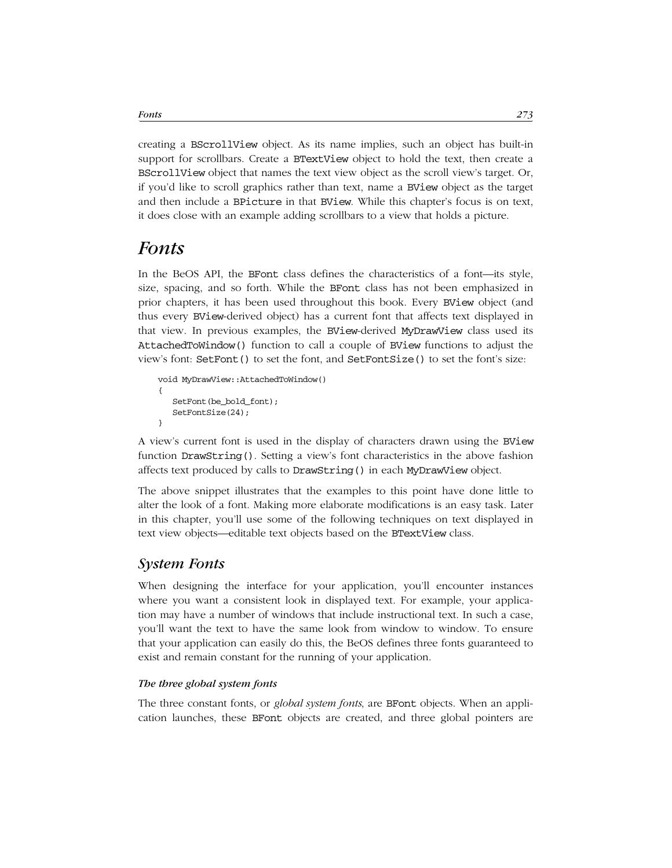creating a BScrollView object. As its name implies, such an object has built-in support for scrollbars. Create a BTextView object to hold the text, then create a BScrollView object that names the text view object as the scroll view's target. Or, if you'd like to scroll graphics rather than text, name a BView object as the target and then include a BPicture in that BView. While this chapter's focus is on text, it does close with an example adding scrollbars to a view that holds a picture.

# *Fonts*

In the BeOS API, the BFont class defines the characteristics of a font—its style, size, spacing, and so forth. While the BFont class has not been emphasized in prior chapters, it has been used throughout this book. Every BView object (and thus every BView-derived object) has a current font that affects text displayed in that view. In previous examples, the BView-derived MyDrawView class used its AttachedToWindow() function to call a couple of BView functions to adjust the view's font: SetFont() to set the font, and SetFontSize() to set the font's size:

```
void MyDrawView::AttachedToWindow()
{
    SetFont(be_bold_font);
    SetFontSize(24);
}
```
A view's current font is used in the display of characters drawn using the BView function DrawString(). Setting a view's font characteristics in the above fashion affects text produced by calls to DrawString() in each MyDrawView object.

The above snippet illustrates that the examples to this point have done little to alter the look of a font. Making more elaborate modifications is an easy task. Later in this chapter, you'll use some of the following techniques on text displayed in text view objects—editable text objects based on the BTextView class.

### *System Fonts*

When designing the interface for your application, you'll encounter instances where you want a consistent look in displayed text. For example, your application may have a number of windows that include instructional text. In such a case, you'll want the text to have the same look from window to window. To ensure that your application can easily do this, the BeOS defines three fonts guaranteed to exist and remain constant for the running of your application.

### *The three global system fonts*

The three constant fonts, or *global system fonts*, are BFont objects. When an application launches, these BFont objects are created, and three global pointers are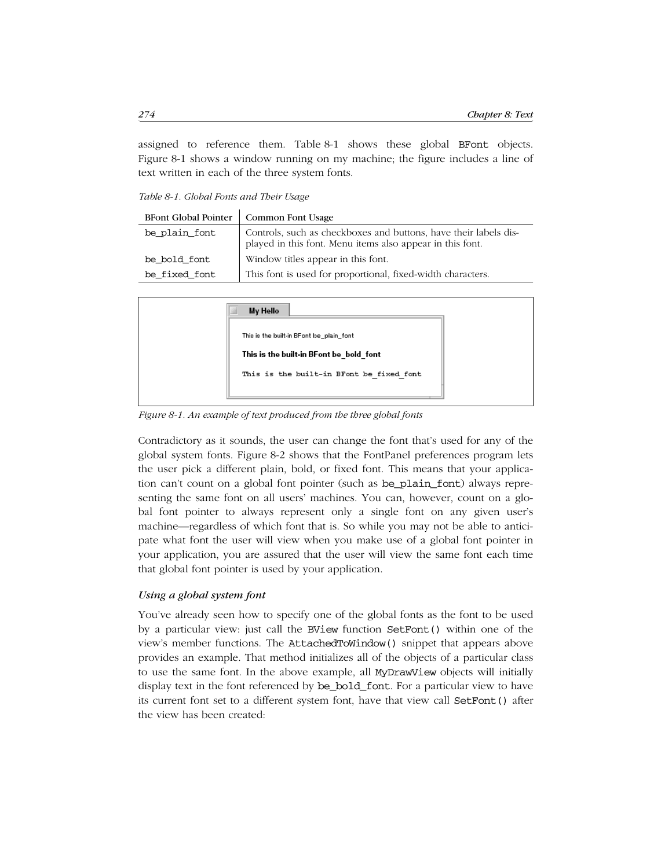assigned to reference them. Table 8-1 shows these global BFont objects. Figure 8-1 shows a window running on my machine; the figure includes a line of text written in each of the three system fonts.

*Table 8-1. Global Fonts and Their Usage*

| <b>BFont Global Pointer</b> | <b>Common Font Usage</b>                                                                                                      |
|-----------------------------|-------------------------------------------------------------------------------------------------------------------------------|
| be plain font               | Controls, such as checkboxes and buttons, have their labels dis-<br>played in this font. Menu items also appear in this font. |
| be bold font                | Window titles appear in this font.                                                                                            |
| be fixed font               | This font is used for proportional, fixed-width characters.                                                                   |

| My Hello                                 |  |
|------------------------------------------|--|
| This is the built-in BFont be_plain_font |  |
| This is the built-in BFont be bold font  |  |
| This is the built-in BFont be fixed font |  |
|                                          |  |

*Figure 8-1. An example of text produced from the three global fonts*

Contradictory as it sounds, the user can change the font that's used for any of the global system fonts. Figure 8-2 shows that the FontPanel preferences program lets the user pick a different plain, bold, or fixed font. This means that your application can't count on a global font pointer (such as be plain font) always representing the same font on all users' machines. You can, however, count on a global font pointer to always represent only a single font on any given user's machine—regardless of which font that is. So while you may not be able to anticipate what font the user will view when you make use of a global font pointer in your application, you are assured that the user will view the same font each time that global font pointer is used by your application.

### *Using a global system font*

You've already seen how to specify one of the global fonts as the font to be used by a particular view: just call the BView function SetFont() within one of the view's member functions. The AttachedToWindow() snippet that appears above provides an example. That method initializes all of the objects of a particular class to use the same font. In the above example, all MyDrawView objects will initially display text in the font referenced by be\_bold\_font. For a particular view to have its current font set to a different system font, have that view call SetFont() after the view has been created: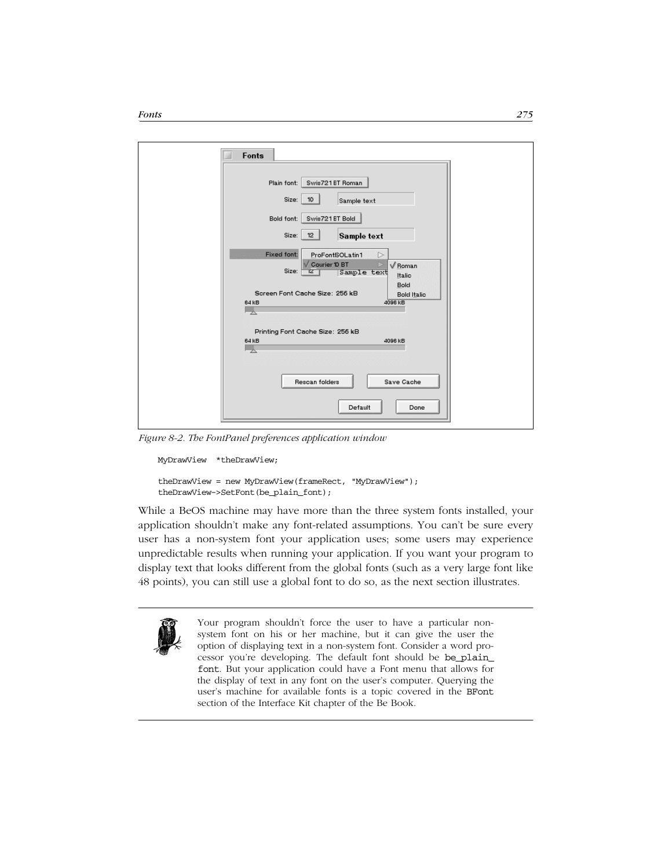*Fonts 275*

| Fonts                                                |                                          |
|------------------------------------------------------|------------------------------------------|
| Swis721 BT Roman<br>Plain font:<br>Size:<br>10       | Sample text                              |
| Swis721 BT Bold<br>Bold font:                        |                                          |
| Size:<br>12                                          | Sample text                              |
| Fixed font:<br>ProFontISOLatin1                      | ▷                                        |
| Courier 10 BT<br>Size:<br>12                         | √ Roman<br>Sample text<br>Italic<br>Bold |
| Screen Font Cache Size: 256 kB                       | <b>Bold Italic</b>                       |
| 64 kB                                                | 4096 kB                                  |
| ┖┻<br>Printing Font Cache Size: 256 kB<br>64 kB<br>A | 4096 kB                                  |
| Rescan folders                                       | Save Cache<br>Default<br>Done            |

*Figure 8-2. The FontPanel preferences application window*

```
MyDrawView *theDrawView;
```

```
theDrawView = new MyDrawView(frameRect, "MyDrawView");
theDrawView->SetFont(be_plain_font);
```
While a BeOS machine may have more than the three system fonts installed, your application shouldn't make any font-related assumptions. You can't be sure every user has a non-system font your application uses; some users may experience unpredictable results when running your application. If you want your program to display text that looks different from the global fonts (such as a very large font like 48 points), you can still use a global font to do so, as the next section illustrates.

> Your program shouldn't force the user to have a particular nonsystem font on his or her machine, but it can give the user the option of displaying text in a non-system font. Consider a word processor you're developing. The default font should be be\_plain\_ font. But your application could have a Font menu that allows for the display of text in any font on the user's computer. Querying the user's machine for available fonts is a topic covered in the BFont section of the Interface Kit chapter of the Be Book.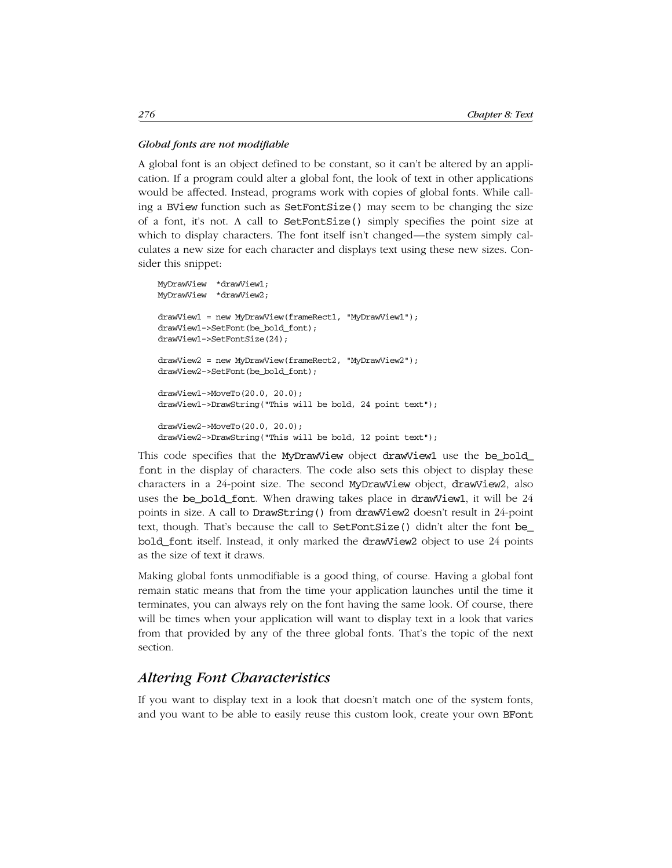### *Global fonts are not modifiable*

A global font is an object defined to be constant, so it can't be altered by an application. If a program could alter a global font, the look of text in other applications would be affected. Instead, programs work with copies of global fonts. While calling a BView function such as SetFontSize() may seem to be changing the size of a font, it's not. A call to SetFontSize() simply specifies the point size at which to display characters. The font itself isn't changed—the system simply calculates a new size for each character and displays text using these new sizes. Consider this snippet:

```
MyDrawView *drawView1;
MyDrawView *drawView2;
drawView1 = new MyDrawView(frameRect1, "MyDrawView1");
drawView1->SetFont(be_bold_font);
drawView1->SetFontSize(24);
drawView2 = new MyDrawView(frameRect2, "MyDrawView2");
drawView2->SetFont(be bold font);
drawView1->MoveTo(20.0, 20.0);
drawView1->DrawString("This will be bold, 24 point text");
drawView2->MoveTo(20.0, 20.0);
drawView2->DrawString("This will be bold, 12 point text");
```
This code specifies that the MyDrawView object drawView1 use the be\_bold\_ font in the display of characters. The code also sets this object to display these characters in a 24-point size. The second MyDrawView object, drawView2, also uses the be\_bold\_font. When drawing takes place in drawView1, it will be 24 points in size. A call to DrawString() from drawView2 doesn't result in 24-point text, though. That's because the call to SetFontSize() didn't alter the font be\_ bold\_font itself. Instead, it only marked the drawView2 object to use 24 points as the size of text it draws.

Making global fonts unmodifiable is a good thing, of course. Having a global font remain static means that from the time your application launches until the time it terminates, you can always rely on the font having the same look. Of course, there will be times when your application will want to display text in a look that varies from that provided by any of the three global fonts. That's the topic of the next section.

### *Altering Font Characteristics*

If you want to display text in a look that doesn't match one of the system fonts, and you want to be able to easily reuse this custom look, create your own BFont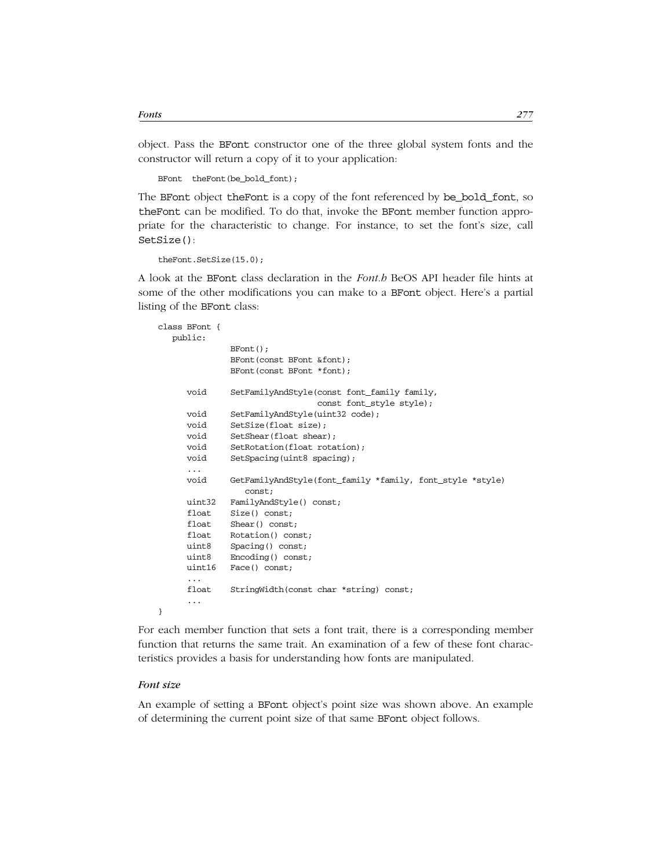object. Pass the BFont constructor one of the three global system fonts and the constructor will return a copy of it to your application:

```
BFont theFont(be_bold_font);
```
The BFont object theFont is a copy of the font referenced by be\_bold\_font, so theFont can be modified. To do that, invoke the BFont member function appropriate for the characteristic to change. For instance, to set the font's size, call SetSize():

```
theFont.SetSize(15.0);
```
A look at the BFont class declaration in the *Font.h* BeOS API header file hints at some of the other modifications you can make to a BFont object. Here's a partial listing of the BFont class:

```
class BFont {
   public:
               BFont();
               BFont(const BFont &font);
               BFont(const BFont *font);
      void SetFamilyAndStyle(const font_family family,
                                const font_style style);
     void SetFamilyAndStyle(uint32 code);
     void SetSize(float size);
     void SetShear(float shear);
      void SetRotation(float rotation);
     void SetSpacing(uint8 spacing);
       ...
      void GetFamilyAndStyle(font_family *family, font_style *style)
                  const;
      uint32 FamilyAndStyle() const;
      float Size() const;
     float Shear() const;
     float Rotation() const;
      uint8 Spacing() const;
      uint8 Encoding() const;
      uint16 Face() const;
       ...
      float StringWidth(const char *string) const;
 ...
}
```
For each member function that sets a font trait, there is a corresponding member function that returns the same trait. An examination of a few of these font characteristics provides a basis for understanding how fonts are manipulated.

### *Font size*

An example of setting a BFont object's point size was shown above. An example of determining the current point size of that same BFont object follows.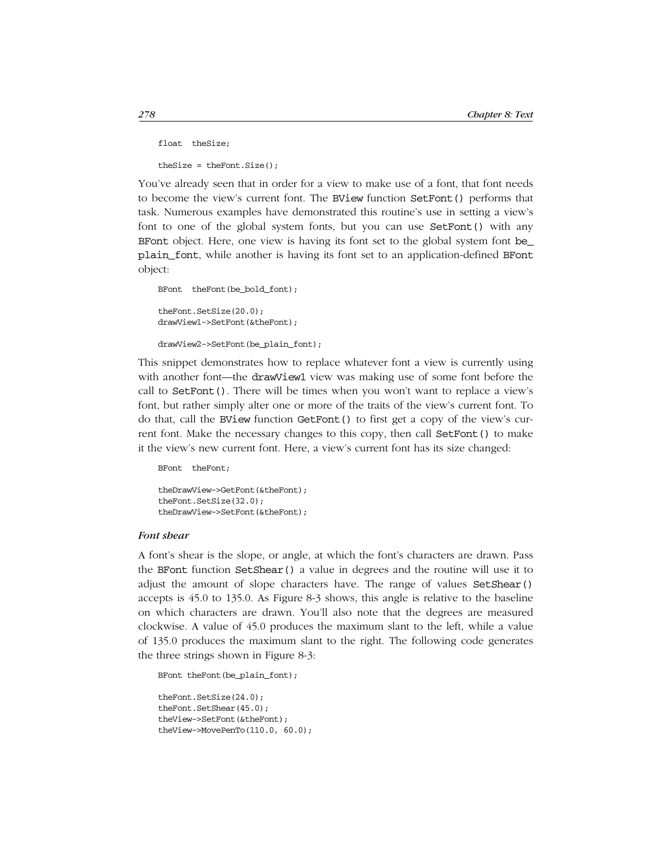float theSize;

the $Size = theFont.size()$ ;

You've already seen that in order for a view to make use of a font, that font needs to become the view's current font. The BView function SetFont() performs that task. Numerous examples have demonstrated this routine's use in setting a view's font to one of the global system fonts, but you can use SetFont() with any BFont object. Here, one view is having its font set to the global system font be\_ plain\_font, while another is having its font set to an application-defined BFont object:

```
BFont theFont(be_bold_font);
theFont.SetSize(20.0);
drawView1->SetFont(&theFont);
```
drawView2->SetFont(be\_plain\_font);

This snippet demonstrates how to replace whatever font a view is currently using with another font—the drawView1 view was making use of some font before the call to SetFont(). There will be times when you won't want to replace a view's font, but rather simply alter one or more of the traits of the view's current font. To do that, call the BView function GetFont() to first get a copy of the view's current font. Make the necessary changes to this copy, then call SetFont() to make it the view's new current font. Here, a view's current font has its size changed:

BFont theFont; theDrawView->GetFont(&theFont); theFont.SetSize(32.0); theDrawView->SetFont(&theFont);

### *Font shear*

A font's shear is the slope, or angle, at which the font's characters are drawn. Pass the BFont function SetShear() a value in degrees and the routine will use it to adjust the amount of slope characters have. The range of values SetShear() accepts is 45.0 to 135.0. As Figure 8-3 shows, this angle is relative to the baseline on which characters are drawn. You'll also note that the degrees are measured clockwise. A value of 45.0 produces the maximum slant to the left, while a value of 135.0 produces the maximum slant to the right. The following code generates the three strings shown in Figure 8-3:

```
BFont theFont(be_plain_font);
theFont.SetSize(24.0);
theFont.SetShear(45.0);
theView->SetFont(&theFont);
theView->MovePenTo(110.0, 60.0);
```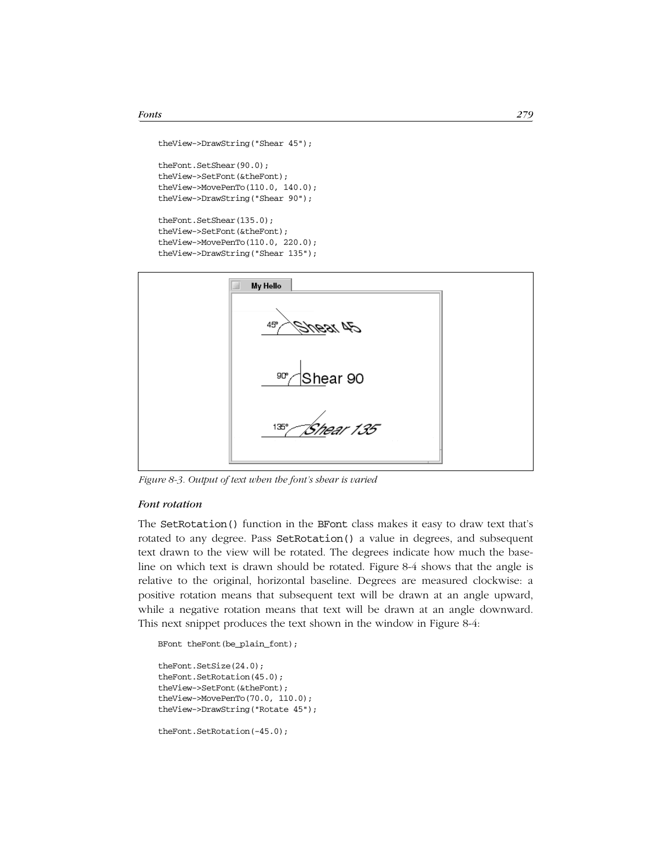```
theView->DrawString("Shear 45");
```

```
theFont.SetShear(90.0);
theView->SetFont(&theFont);
theView->MovePenTo(110.0, 140.0);
theView->DrawString("Shear 90");
```

```
theFont.SetShear(135.0);
theView->SetFont(&theFont);
theView->MovePenTo(110.0, 220.0);
theView->DrawString("Shear 135");
```


*Figure 8-3. Output of text when the font's shear is varied*

### *Font rotation*

The SetRotation() function in the BFont class makes it easy to draw text that's rotated to any degree. Pass SetRotation() a value in degrees, and subsequent text drawn to the view will be rotated. The degrees indicate how much the baseline on which text is drawn should be rotated. Figure 8-4 shows that the angle is relative to the original, horizontal baseline. Degrees are measured clockwise: a positive rotation means that subsequent text will be drawn at an angle upward, while a negative rotation means that text will be drawn at an angle downward. This next snippet produces the text shown in the window in Figure 8-4:

```
BFont theFont(be_plain_font);
```

```
theFont.SetSize(24.0);
theFont.SetRotation(45.0);
theView->SetFont(&theFont);
theView->MovePenTo(70.0, 110.0);
theView->DrawString("Rotate 45");
```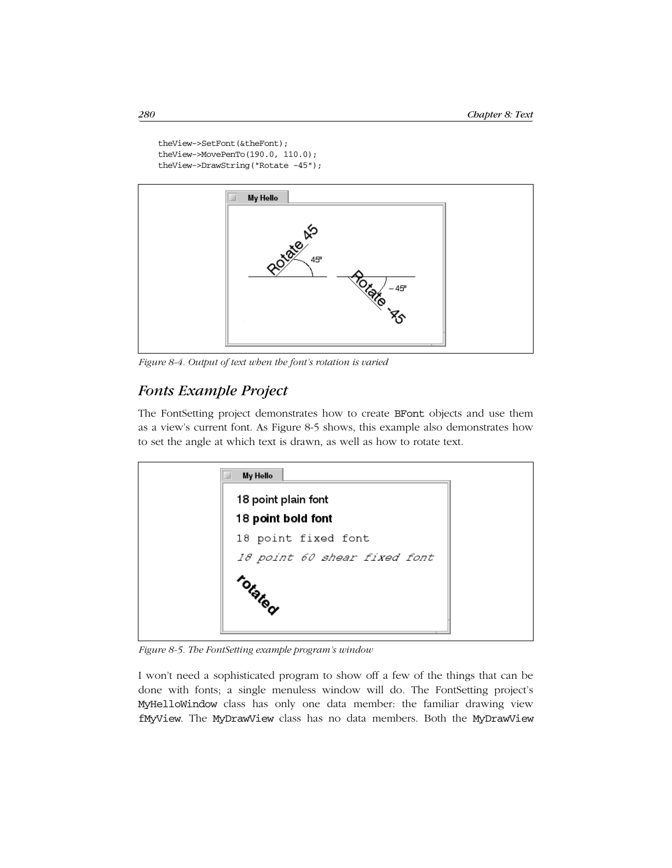```
theView->SetFont(&theFont);
theView->MovePenTo(190.0, 110.0);
theView->DrawString("Rotate -45");
```


*Figure 8-4. Output of text when the font's rotation is varied*

# *Fonts Example Project*

The FontSetting project demonstrates how to create BFont objects and use them as a view's current font. As Figure 8-5 shows, this example also demonstrates how to set the angle at which text is drawn, as well as how to rotate text.

| <b>My Hello</b>              |  |
|------------------------------|--|
| 18 point plain font          |  |
| 18 point bold font           |  |
| 18 point fixed font          |  |
| 18 point 60 shear fixed font |  |
| totateg                      |  |

*Figure 8-5. The FontSetting example program's window*

I won't need a sophisticated program to show off a few of the things that can be done with fonts; a single menuless window will do. The FontSetting project's MyHelloWindow class has only one data member: the familiar drawing view fMyView. The MyDrawView class has no data members. Both the MyDrawView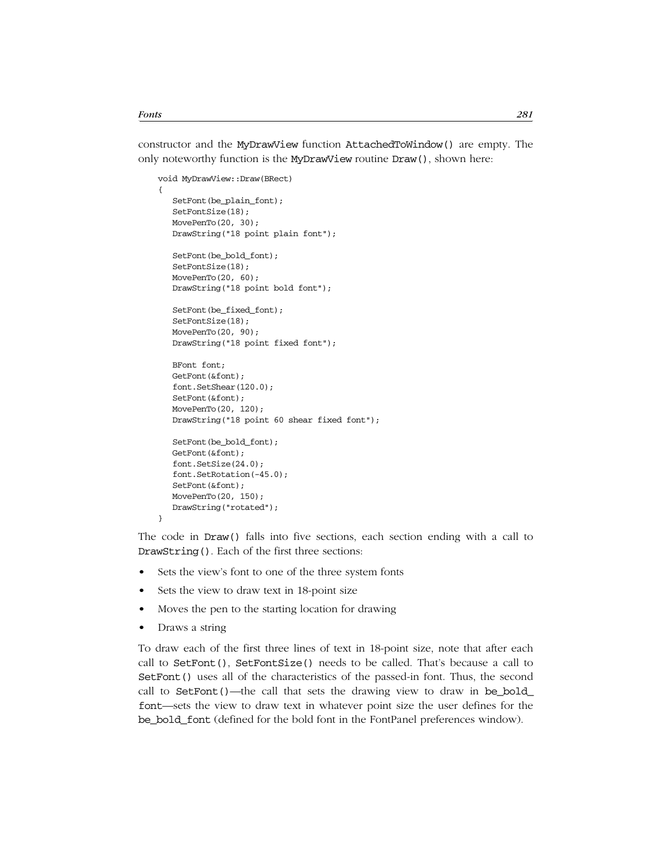constructor and the MyDrawView function AttachedToWindow() are empty. The only noteworthy function is the MyDrawView routine Draw(), shown here:

```
void MyDrawView::Draw(BRect)
{
  SetFont(be_plain_font);
   SetFontSize(18);
  MovePenTo(20, 30);
   DrawString("18 point plain font");
   SetFont(be_bold_font);
   SetFontSize(18);
  MovePenTo(20, 60);
   DrawString("18 point bold font");
   SetFont(be_fixed_font);
   SetFontSize(18);
  MovePenTo(20, 90);
   DrawString("18 point fixed font");
   BFont font;
   GetFont(&font);
    font.SetShear(120.0);
    SetFont(&font);
  MovePenTo(20, 120);
   DrawString("18 point 60 shear fixed font");
    SetFont(be_bold_font);
  GetFont(&font);
    font.SetSize(24.0);
    font.SetRotation(-45.0);
   SetFont(&font);
  MovePenTo(20, 150);
    DrawString("rotated");
}
```
The code in Draw() falls into five sections, each section ending with a call to DrawString(). Each of the first three sections:

- Sets the view's font to one of the three system fonts
- Sets the view to draw text in 18-point size
- Moves the pen to the starting location for drawing
- Draws a string

To draw each of the first three lines of text in 18-point size, note that after each call to SetFont(), SetFontSize() needs to be called. That's because a call to SetFont() uses all of the characteristics of the passed-in font. Thus, the second call to SetFont()—the call that sets the drawing view to draw in be\_bold\_ font—sets the view to draw text in whatever point size the user defines for the be\_bold\_font (defined for the bold font in the FontPanel preferences window).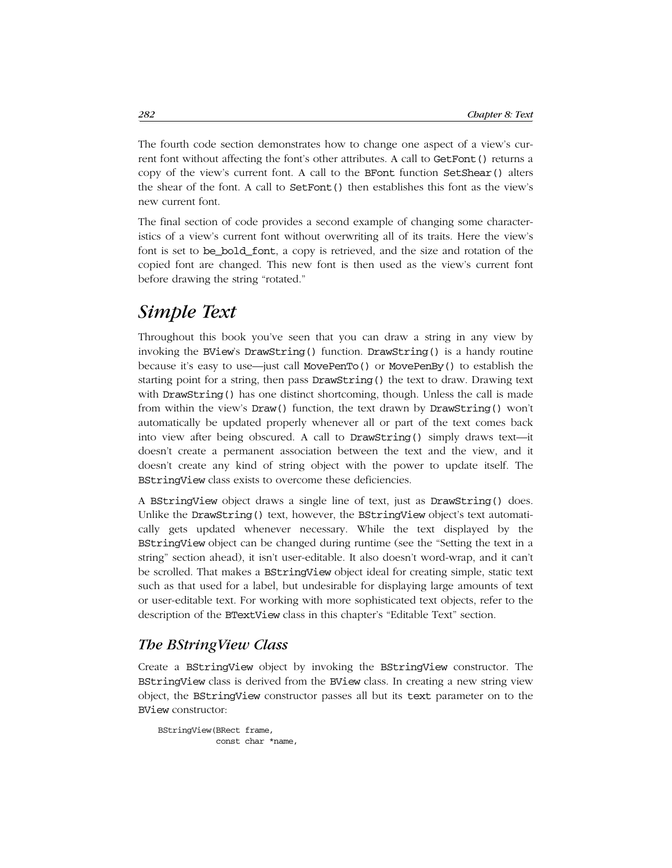The fourth code section demonstrates how to change one aspect of a view's current font without affecting the font's other attributes. A call to GetFont() returns a copy of the view's current font. A call to the BFont function SetShear() alters the shear of the font. A call to SetFont() then establishes this font as the view's new current font.

The final section of code provides a second example of changing some characteristics of a view's current font without overwriting all of its traits. Here the view's font is set to be\_bold\_font, a copy is retrieved, and the size and rotation of the copied font are changed. This new font is then used as the view's current font before drawing the string "rotated."

# *Simple Text*

Throughout this book you've seen that you can draw a string in any view by invoking the BView's DrawString() function. DrawString() is a handy routine because it's easy to use—just call MovePenTo() or MovePenBy() to establish the starting point for a string, then pass DrawString() the text to draw. Drawing text with DrawString() has one distinct shortcoming, though. Unless the call is made from within the view's Draw() function, the text drawn by DrawString() won't automatically be updated properly whenever all or part of the text comes back into view after being obscured. A call to DrawString() simply draws text—it doesn't create a permanent association between the text and the view, and it doesn't create any kind of string object with the power to update itself. The BStringView class exists to overcome these deficiencies.

A BStringView object draws a single line of text, just as DrawString() does. Unlike the DrawString() text, however, the BStringView object's text automatically gets updated whenever necessary. While the text displayed by the BStringView object can be changed during runtime (see the "Setting the text in a string" section ahead), it isn't user-editable. It also doesn't word-wrap, and it can't be scrolled. That makes a BStringView object ideal for creating simple, static text such as that used for a label, but undesirable for displaying large amounts of text or user-editable text. For working with more sophisticated text objects, refer to the description of the BTextView class in this chapter's "Editable Text" section.

### *The BStringView Class*

Create a BStringView object by invoking the BStringView constructor. The BStringView class is derived from the BView class. In creating a new string view object, the BStringView constructor passes all but its text parameter on to the BView constructor:

```
BStringView(BRect frame,
             const char *name,
```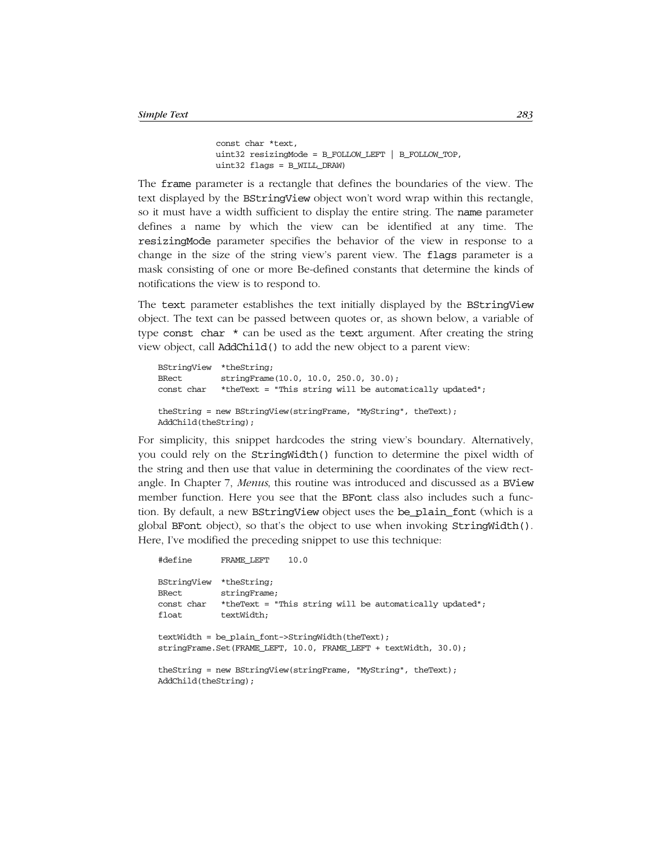```
 const char *text,
uint32 resizingMode = B_FOLLOW_LEFT | B_FOLLOW_TOP,
 uint32 flags = B_WILL_DRAW)
```
The frame parameter is a rectangle that defines the boundaries of the view. The text displayed by the BStringView object won't word wrap within this rectangle, so it must have a width sufficient to display the entire string. The name parameter defines a name by which the view can be identified at any time. The resizingMode parameter specifies the behavior of the view in response to a change in the size of the string view's parent view. The flags parameter is a mask consisting of one or more Be-defined constants that determine the kinds of notifications the view is to respond to.

The text parameter establishes the text initially displayed by the BStringView object. The text can be passed between quotes or, as shown below, a variable of type const char  $*$  can be used as the text argument. After creating the string view object, call AddChild() to add the new object to a parent view:

```
BStringView *theString;
BRect stringFrame(10.0, 10.0, 250.0, 30.0);
const char *theText = "This string will be automatically updated";
theString = new BStringView(stringFrame, "MyString", theText);
AddChild(theString);
```
For simplicity, this snippet hardcodes the string view's boundary. Alternatively, you could rely on the StringWidth() function to determine the pixel width of the string and then use that value in determining the coordinates of the view rectangle. In Chapter 7, *Menus*, this routine was introduced and discussed as a BView member function. Here you see that the BFont class also includes such a function. By default, a new BStringView object uses the be\_plain\_font (which is a global BFont object), so that's the object to use when invoking StringWidth(). Here, I've modified the preceding snippet to use this technique:

```
#define FRAME_LEFT 10.0
BStringView *theString;
BRect stringFrame;
const char *theText = "This string will be automatically updated";
float textWidth;
textWidth = be_plain_font->StringWidth(theText);
stringFrame.Set(FRAME_LEFT, 10.0, FRAME_LEFT + textWidth, 30.0);
theString = new BStringView(stringFrame, "MyString", theText);
AddChild(theString);
```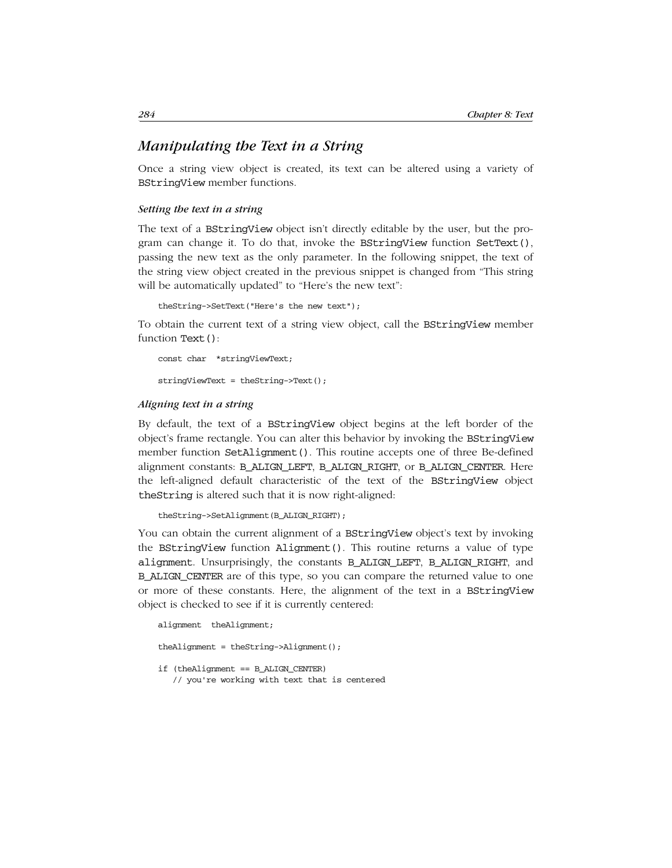### *Manipulating the Text in a String*

Once a string view object is created, its text can be altered using a variety of BStringView member functions.

### *Setting the text in a string*

The text of a BStringView object isn't directly editable by the user, but the program can change it. To do that, invoke the BStringView function SetText(), passing the new text as the only parameter. In the following snippet, the text of the string view object created in the previous snippet is changed from "This string will be automatically updated" to "Here's the new text":

theString->SetText("Here's the new text");

To obtain the current text of a string view object, call the BStringView member function Text():

```
const char *stringViewText;
stringViewText = theString->Text();
```
### *Aligning text in a string*

By default, the text of a BStringView object begins at the left border of the object's frame rectangle. You can alter this behavior by invoking the BStringView member function SetAlignment(). This routine accepts one of three Be-defined alignment constants: B\_ALIGN\_LEFT, B\_ALIGN\_RIGHT, or B\_ALIGN\_CENTER. Here the left-aligned default characteristic of the text of the BStringView object theString is altered such that it is now right-aligned:

```
theString->SetAlignment(B_ALIGN_RIGHT);
```
You can obtain the current alignment of a BStringView object's text by invoking the BStringView function Alignment(). This routine returns a value of type alignment. Unsurprisingly, the constants B\_ALIGN\_LEFT, B\_ALIGN\_RIGHT, and B\_ALIGN\_CENTER are of this type, so you can compare the returned value to one or more of these constants. Here, the alignment of the text in a BStringView object is checked to see if it is currently centered:

```
alignment theAlignment;
theAlignment = theString->Alignment();
if (theAlignment == B_ALIGN_CENTER)
   // you're working with text that is centered
```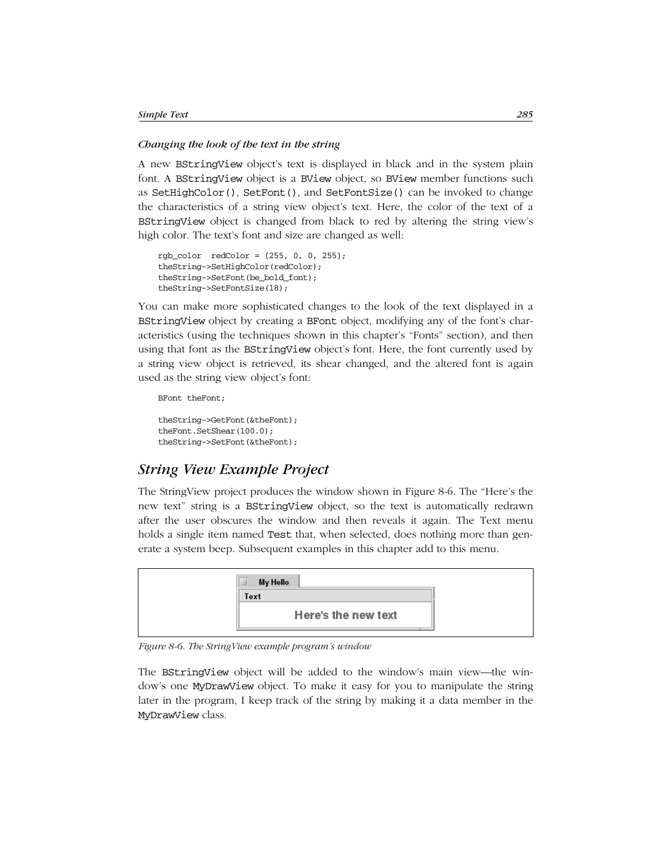### *Changing the look of the text in the string*

A new BStringView object's text is displayed in black and in the system plain font. A BStringView object is a BView object, so BView member functions such as SetHighColor(), SetFont(), and SetFontSize() can be invoked to change the characteristics of a string view object's text. Here, the color of the text of a BStringView object is changed from black to red by altering the string view's high color. The text's font and size are changed as well:

```
rgb\_color = {255, 0, 0, 255};theString->SetHighColor(redColor);
theString->SetFont(be_bold_font);
theString->SetFontSize(18);
```
You can make more sophisticated changes to the look of the text displayed in a BStringView object by creating a BFont object, modifying any of the font's characteristics (using the techniques shown in this chapter's "Fonts" section), and then using that font as the BStringView object's font. Here, the font currently used by a string view object is retrieved, its shear changed, and the altered font is again used as the string view object's font:

BFont theFont;

```
theString->GetFont(&theFont);
theFont.SetShear(100.0);
theString->SetFont(&theFont);
```
### *String View Example Project*

The StringView project produces the window shown in Figure 8-6. The "Here's the new text" string is a BStringView object, so the text is automatically redrawn after the user obscures the window and then reveals it again. The Text menu holds a single item named Test that, when selected, does nothing more than generate a system beep. Subsequent examples in this chapter add to this menu.



*Figure 8-6. The StringView example program's window*

The BStringView object will be added to the window's main view—the window's one MyDrawView object. To make it easy for you to manipulate the string later in the program, I keep track of the string by making it a data member in the MyDrawView class.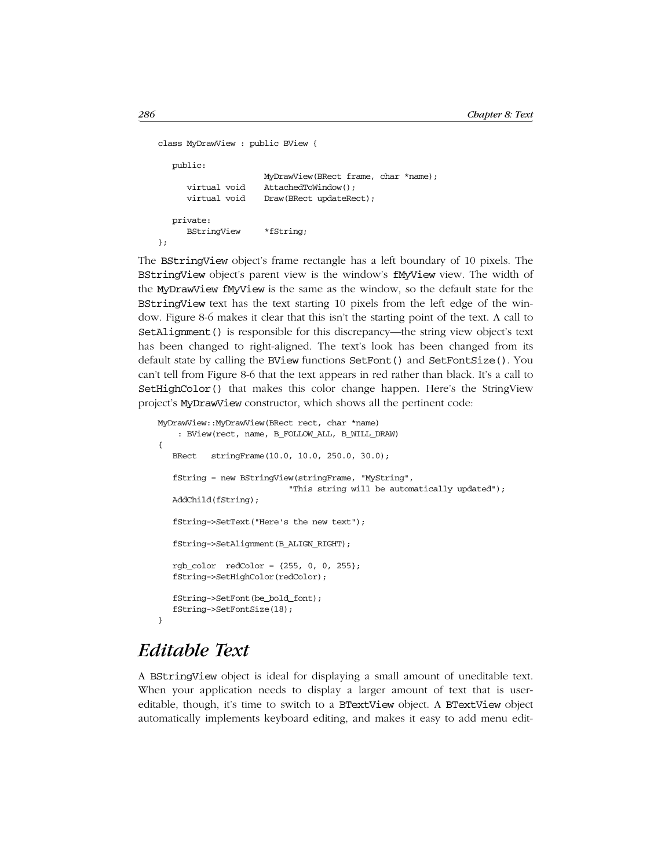```
class MyDrawView : public BView {
   public:
                      MyDrawView(BRect frame, char *name);
     virtual void AttachedToWindow();
     virtual void Draw(BRect updateRect);
    private:
      BStringView *fString;
};
```
The BStringView object's frame rectangle has a left boundary of 10 pixels. The BStringView object's parent view is the window's fMyView view. The width of the MyDrawView fMyView is the same as the window, so the default state for the BStringView text has the text starting 10 pixels from the left edge of the window. Figure 8-6 makes it clear that this isn't the starting point of the text. A call to SetAlignment() is responsible for this discrepancy—the string view object's text has been changed to right-aligned. The text's look has been changed from its default state by calling the BView functions SetFont() and SetFontSize(). You can't tell from Figure 8-6 that the text appears in red rather than black. It's a call to SetHighColor() that makes this color change happen. Here's the StringView project's MyDrawView constructor, which shows all the pertinent code:

```
MyDrawView::MyDrawView(BRect rect, char *name)
     : BView(rect, name, B_FOLLOW_ALL, B_WILL_DRAW)
{
    BRect stringFrame(10.0, 10.0, 250.0, 30.0);
    fString = new BStringView(stringFrame, "MyString",
                             "This string will be automatically updated");
    AddChild(fString);
    fString->SetText("Here's the new text");
    fString->SetAlignment(B_ALIGN_RIGHT);
    rgb_color redColor = {255, 0, 0, 255};
    fString->SetHighColor(redColor);
    fString->SetFont(be_bold_font);
    fString->SetFontSize(18);
}
```
# *Editable Text*

A BStringView object is ideal for displaying a small amount of uneditable text. When your application needs to display a larger amount of text that is usereditable, though, it's time to switch to a BTextView object. A BTextView object automatically implements keyboard editing, and makes it easy to add menu edit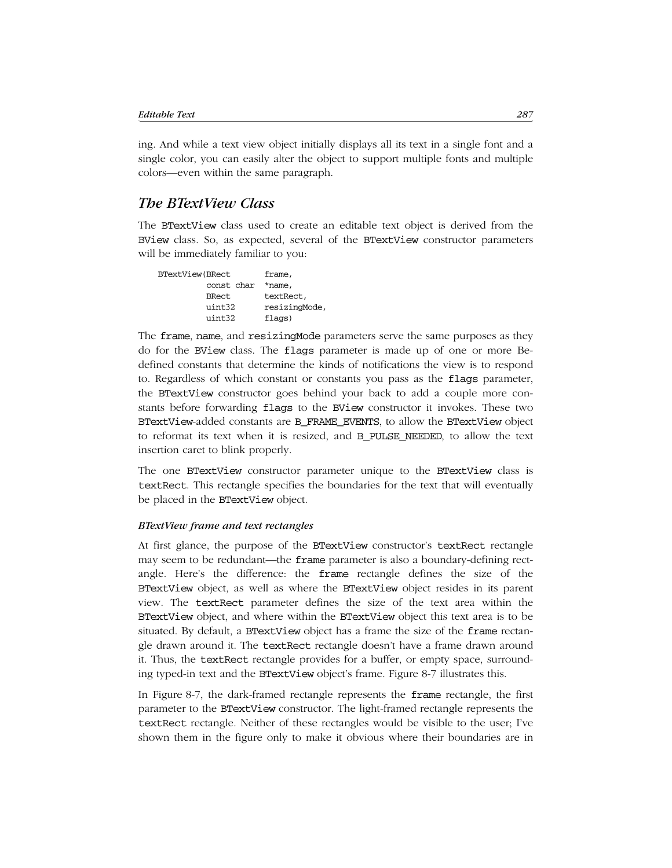ing. And while a text view object initially displays all its text in a single font and a single color, you can easily alter the object to support multiple fonts and multiple colors—even within the same paragraph.

### *The BTextView Class*

The BTextView class used to create an editable text object is derived from the BView class. So, as expected, several of the BTextView constructor parameters will be immediately familiar to you:

| <b>BTextView(BRect</b> | frame,        |
|------------------------|---------------|
| const char             | *name,        |
| BRect                  | textRect,     |
| uint32                 | resizingMode, |
| uint32                 | flags)        |

The frame, name, and resizingMode parameters serve the same purposes as they do for the BView class. The flags parameter is made up of one or more Bedefined constants that determine the kinds of notifications the view is to respond to. Regardless of which constant or constants you pass as the flags parameter, the BTextView constructor goes behind your back to add a couple more constants before forwarding flags to the BView constructor it invokes. These two BTextView-added constants are B\_FRAME\_EVENTS, to allow the BTextView object to reformat its text when it is resized, and B\_PULSE\_NEEDED, to allow the text insertion caret to blink properly.

The one BTextView constructor parameter unique to the BTextView class is textRect. This rectangle specifies the boundaries for the text that will eventually be placed in the BTextView object.

### *BTextView frame and text rectangles*

At first glance, the purpose of the BTextView constructor's textRect rectangle may seem to be redundant—the frame parameter is also a boundary-defining rectangle. Here's the difference: the frame rectangle defines the size of the BTextView object, as well as where the BTextView object resides in its parent view. The textRect parameter defines the size of the text area within the BTextView object, and where within the BTextView object this text area is to be situated. By default, a BTextView object has a frame the size of the frame rectangle drawn around it. The textRect rectangle doesn't have a frame drawn around it. Thus, the textRect rectangle provides for a buffer, or empty space, surrounding typed-in text and the BTextView object's frame. Figure 8-7 illustrates this.

In Figure 8-7, the dark-framed rectangle represents the frame rectangle, the first parameter to the BTextView constructor. The light-framed rectangle represents the textRect rectangle. Neither of these rectangles would be visible to the user; I've shown them in the figure only to make it obvious where their boundaries are in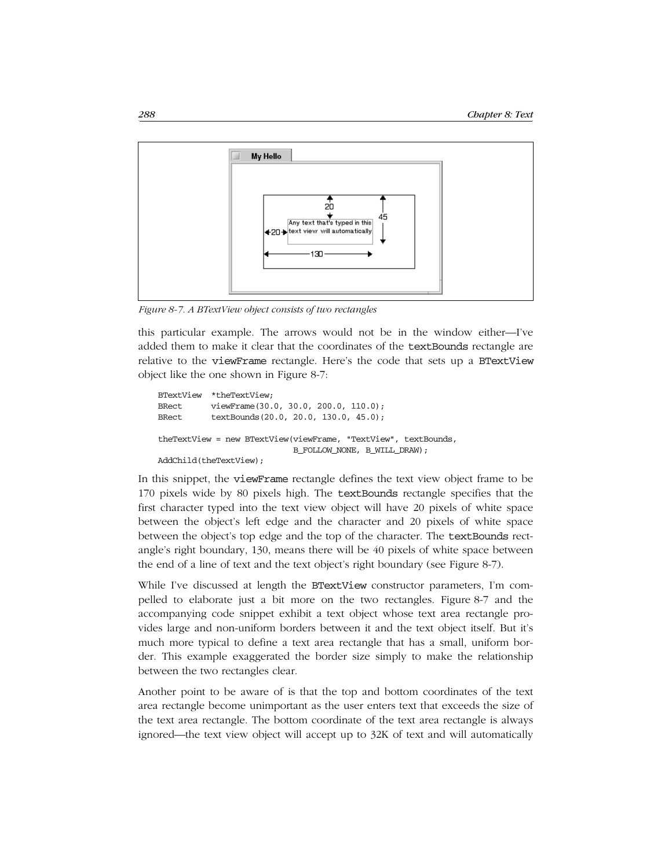

*Figure 8-7. A BTextView object consists of two rectangles*

this particular example. The arrows would not be in the window either—I've added them to make it clear that the coordinates of the textBounds rectangle are relative to the viewFrame rectangle. Here's the code that sets up a BTextView object like the one shown in Figure 8-7:

```
BTextView *theTextView;
BRect viewFrame(30.0, 30.0, 200.0, 110.0);
BRect textBounds(20.0, 20.0, 130.0, 45.0);
theTextView = new BTextView(viewFrame, "TextView", textBounds,
                            B_FOLLOW_NONE, B_WILL_DRAW);
AddChild(theTextView);
```
In this snippet, the viewFrame rectangle defines the text view object frame to be 170 pixels wide by 80 pixels high. The textBounds rectangle specifies that the first character typed into the text view object will have 20 pixels of white space between the object's left edge and the character and 20 pixels of white space between the object's top edge and the top of the character. The textBounds rectangle's right boundary, 130, means there will be 40 pixels of white space between the end of a line of text and the text object's right boundary (see Figure 8-7).

While I've discussed at length the BTextView constructor parameters, I'm compelled to elaborate just a bit more on the two rectangles. Figure 8-7 and the accompanying code snippet exhibit a text object whose text area rectangle provides large and non-uniform borders between it and the text object itself. But it's much more typical to define a text area rectangle that has a small, uniform border. This example exaggerated the border size simply to make the relationship between the two rectangles clear.

Another point to be aware of is that the top and bottom coordinates of the text area rectangle become unimportant as the user enters text that exceeds the size of the text area rectangle. The bottom coordinate of the text area rectangle is always ignored—the text view object will accept up to 32K of text and will automatically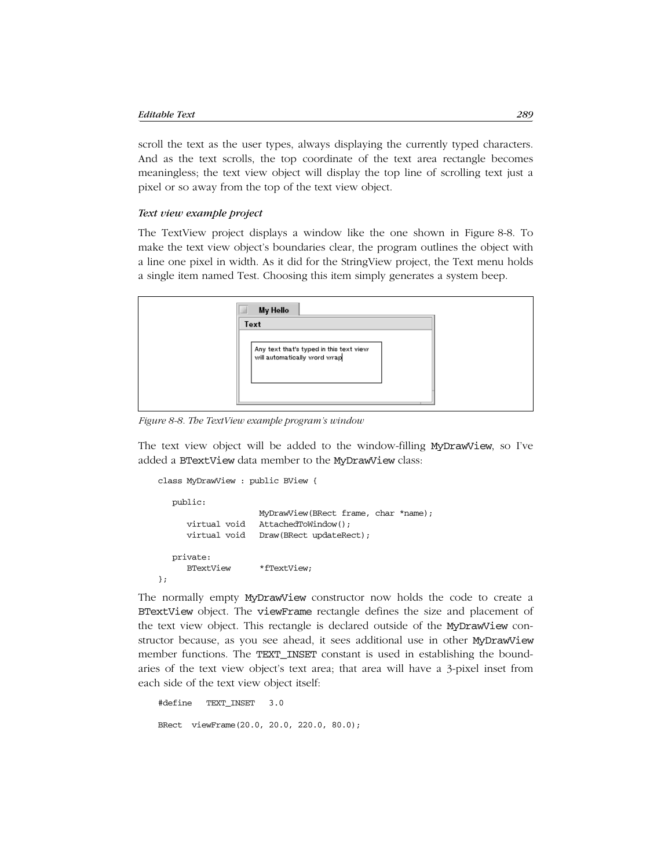scroll the text as the user types, always displaying the currently typed characters. And as the text scrolls, the top coordinate of the text area rectangle becomes meaningless; the text view object will display the top line of scrolling text just a pixel or so away from the top of the text view object.

### *Text view example project*

The TextView project displays a window like the one shown in Figure 8-8. To make the text view object's boundaries clear, the program outlines the object with a line one pixel in width. As it did for the StringView project, the Text menu holds a single item named Test. Choosing this item simply generates a system beep.



*Figure 8-8. The TextView example program's window*

The text view object will be added to the window-filling MyDrawView, so I've added a BTextView data member to the MyDrawView class:

```
class MyDrawView : public BView {
    public:
                     MyDrawView(BRect frame, char *name);
     virtual void AttachedToWindow();
     virtual void Draw(BRect updateRect);
    private:
      BTextView *fTextView;
};
```
The normally empty MyDrawView constructor now holds the code to create a BTextView object. The viewFrame rectangle defines the size and placement of the text view object. This rectangle is declared outside of the MyDrawView constructor because, as you see ahead, it sees additional use in other MyDrawView member functions. The TEXT\_INSET constant is used in establishing the boundaries of the text view object's text area; that area will have a 3-pixel inset from each side of the text view object itself:

```
#define TEXT_INSET 3.0
BRect viewFrame(20.0, 20.0, 220.0, 80.0);
```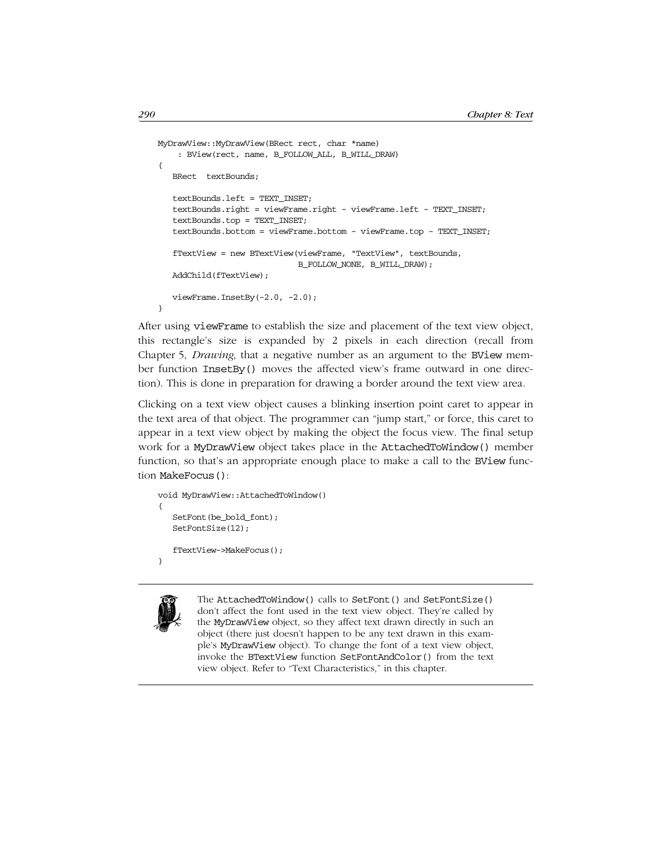```
MyDrawView::MyDrawView(BRect rect, char *name)
     : BView(rect, name, B_FOLLOW_ALL, B_WILL_DRAW)
{
    BRect textBounds;
    textBounds.left = TEXT_INSET;
    textBounds.right = viewFrame.right - viewFrame.left - TEXT_INSET;
    textBounds.top = TEXT_INSET;
    textBounds.bottom = viewFrame.bottom - viewFrame.top - TEXT_INSET;
    fTextView = new BTextView(viewFrame, "TextView", textBounds,
                               B_FOLLOW_NONE, B_WILL_DRAW);
    AddChild(fTextView);
   viewFrame.InsetBy(-2.0, -2.0);
}
```
After using viewFrame to establish the size and placement of the text view object, this rectangle's size is expanded by 2 pixels in each direction (recall from Chapter 5, *Drawing*, that a negative number as an argument to the BView member function InsetBy() moves the affected view's frame outward in one direction). This is done in preparation for drawing a border around the text view area.

Clicking on a text view object causes a blinking insertion point caret to appear in the text area of that object. The programmer can "jump start," or force, this caret to appear in a text view object by making the object the focus view. The final setup work for a MyDrawView object takes place in the AttachedToWindow() member function, so that's an appropriate enough place to make a call to the BView function MakeFocus():

```
void MyDrawView::AttachedToWindow()
{
    SetFont(be_bold_font);
    SetFontSize(12);
    fTextView->MakeFocus();
}
```


The AttachedToWindow() calls to SetFont() and SetFontSize() don't affect the font used in the text view object. They're called by the MyDrawView object, so they affect text drawn directly in such an object (there just doesn't happen to be any text drawn in this example's MyDrawView object). To change the font of a text view object, invoke the BTextView function SetFontAndColor() from the text view object. Refer to "Text Characteristics," in this chapter.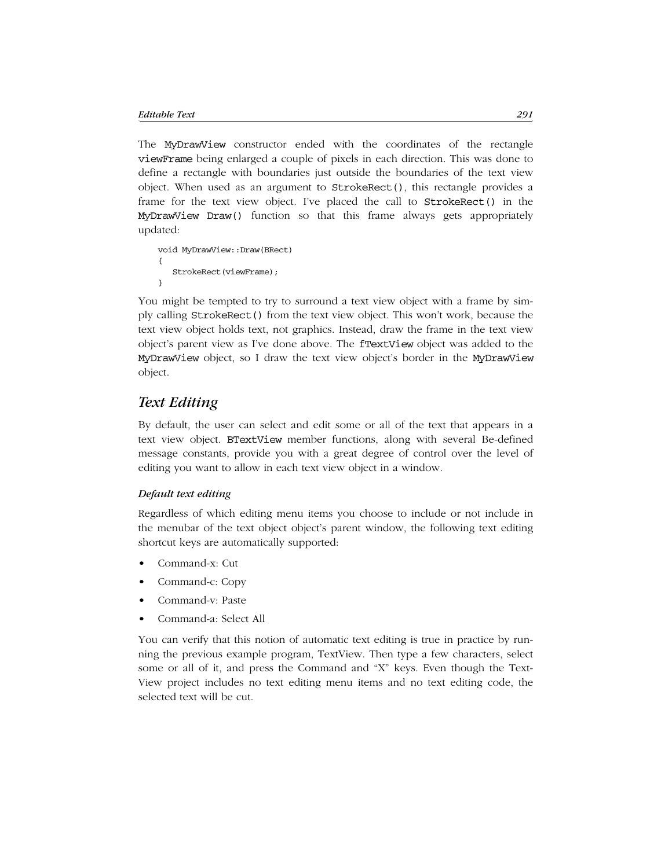The MyDrawView constructor ended with the coordinates of the rectangle viewFrame being enlarged a couple of pixels in each direction. This was done to define a rectangle with boundaries just outside the boundaries of the text view object. When used as an argument to StrokeRect(), this rectangle provides a frame for the text view object. I've placed the call to StrokeRect() in the MyDrawView Draw() function so that this frame always gets appropriately updated:

```
void MyDrawView::Draw(BRect)
{
    StrokeRect(viewFrame);
\mathfrak{g}
```
You might be tempted to try to surround a text view object with a frame by simply calling StrokeRect() from the text view object. This won't work, because the text view object holds text, not graphics. Instead, draw the frame in the text view object's parent view as I've done above. The fTextView object was added to the MyDrawView object, so I draw the text view object's border in the MyDrawView object.

### *Text Editing*

By default, the user can select and edit some or all of the text that appears in a text view object. BTextView member functions, along with several Be-defined message constants, provide you with a great degree of control over the level of editing you want to allow in each text view object in a window.

### *Default text editing*

Regardless of which editing menu items you choose to include or not include in the menubar of the text object object's parent window, the following text editing shortcut keys are automatically supported:

- Command-x: Cut
- Command-c: Copy
- Command-v: Paste
- Command-a: Select All

You can verify that this notion of automatic text editing is true in practice by running the previous example program, TextView. Then type a few characters, select some or all of it, and press the Command and "X" keys. Even though the Text-View project includes no text editing menu items and no text editing code, the selected text will be cut.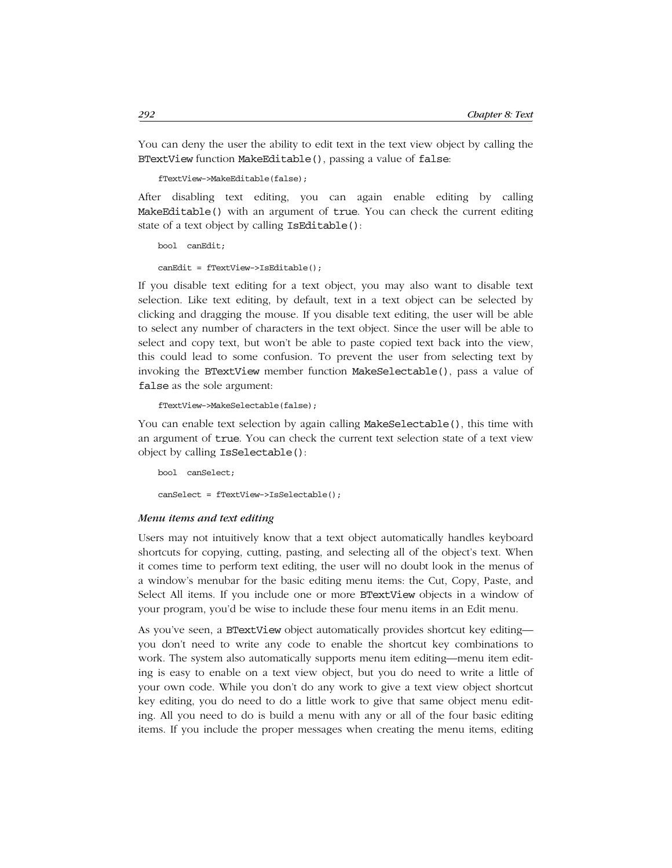You can deny the user the ability to edit text in the text view object by calling the BTextView function MakeEditable(), passing a value of false:

fTextView->MakeEditable(false);

After disabling text editing, you can again enable editing by calling MakeEditable() with an argument of true. You can check the current editing state of a text object by calling IsEditable():

```
bool canEdit;
```

```
canEdit = fTextView->IsEditable();
```
If you disable text editing for a text object, you may also want to disable text selection. Like text editing, by default, text in a text object can be selected by clicking and dragging the mouse. If you disable text editing, the user will be able to select any number of characters in the text object. Since the user will be able to select and copy text, but won't be able to paste copied text back into the view, this could lead to some confusion. To prevent the user from selecting text by invoking the BTextView member function MakeSelectable(), pass a value of false as the sole argument:

```
fTextView->MakeSelectable(false);
```
You can enable text selection by again calling MakeSelectable(), this time with an argument of true. You can check the current text selection state of a text view object by calling IsSelectable():

bool canSelect; canSelect = fTextView->IsSelectable();

### *Menu items and text editing*

Users may not intuitively know that a text object automatically handles keyboard shortcuts for copying, cutting, pasting, and selecting all of the object's text. When it comes time to perform text editing, the user will no doubt look in the menus of a window's menubar for the basic editing menu items: the Cut, Copy, Paste, and Select All items. If you include one or more BTextView objects in a window of your program, you'd be wise to include these four menu items in an Edit menu.

As you've seen, a BTextView object automatically provides shortcut key editing you don't need to write any code to enable the shortcut key combinations to work. The system also automatically supports menu item editing—menu item editing is easy to enable on a text view object, but you do need to write a little of your own code. While you don't do any work to give a text view object shortcut key editing, you do need to do a little work to give that same object menu editing. All you need to do is build a menu with any or all of the four basic editing items. If you include the proper messages when creating the menu items, editing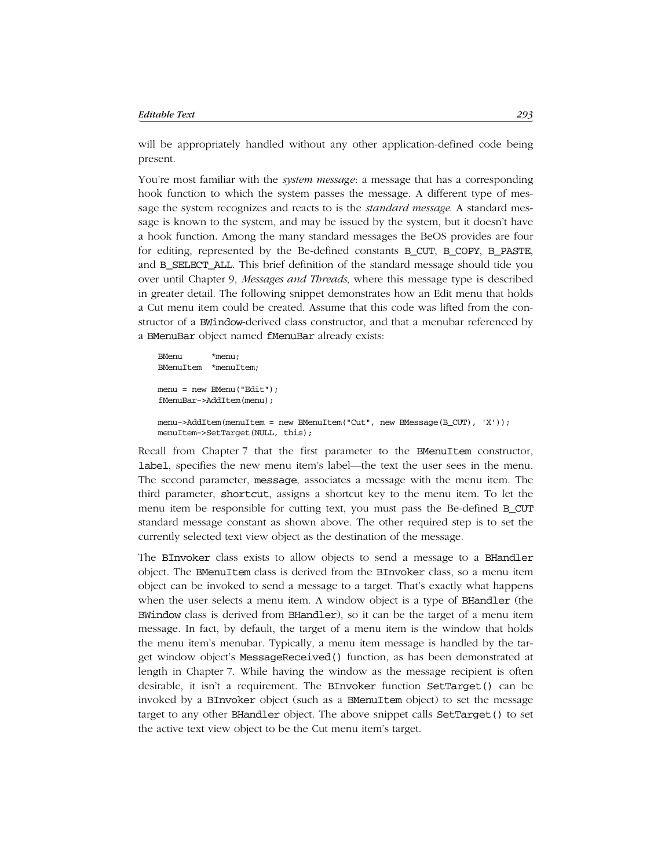will be appropriately handled without any other application-defined code being present.

You're most familiar with the *system messa*g*e*: a message that has a corresponding hook function to which the system passes the message. A different type of message the system recognizes and reacts to is the *standard message*. A standard message is known to the system, and may be issued by the system, but it doesn't have a hook function. Among the many standard messages the BeOS provides are four for editing, represented by the Be-defined constants B\_CUT, B\_COPY, B\_PASTE, and B\_SELECT\_ALL. This brief definition of the standard message should tide you over until Chapter 9, *Messages and Threads*, where this message type is described in greater detail. The following snippet demonstrates how an Edit menu that holds a Cut menu item could be created. Assume that this code was lifted from the constructor of a BWindow-derived class constructor, and that a menubar referenced by a BMenuBar object named fMenuBar already exists:

```
BMenu *menu;
BMenuItem *menuItem;
menu = new BMenu("Edit");
fMenuBar->AddItem(menu);
menu->AddItem(menuItem = new BMenuItem("Cut", new BMessage(B_CUT), 'X'));
menuItem->SetTarget(NULL, this);
```
Recall from Chapter 7 that the first parameter to the BMenuItem constructor, label, specifies the new menu item's label—the text the user sees in the menu. The second parameter, message, associates a message with the menu item. The third parameter, shortcut, assigns a shortcut key to the menu item. To let the menu item be responsible for cutting text, you must pass the Be-defined B\_CUT standard message constant as shown above. The other required step is to set the currently selected text view object as the destination of the message.

The BInvoker class exists to allow objects to send a message to a BHandler object. The BMenuItem class is derived from the BInvoker class, so a menu item object can be invoked to send a message to a target. That's exactly what happens when the user selects a menu item. A window object is a type of BHandler (the BWindow class is derived from BHandler), so it can be the target of a menu item message. In fact, by default, the target of a menu item is the window that holds the menu item's menubar. Typically, a menu item message is handled by the target window object's MessageReceived() function, as has been demonstrated at length in Chapter 7. While having the window as the message recipient is often desirable, it isn't a requirement. The BInvoker function SetTarget() can be invoked by a BInvoker object (such as a BMenuItem object) to set the message target to any other BHandler object. The above snippet calls SetTarget() to set the active text view object to be the Cut menu item's target.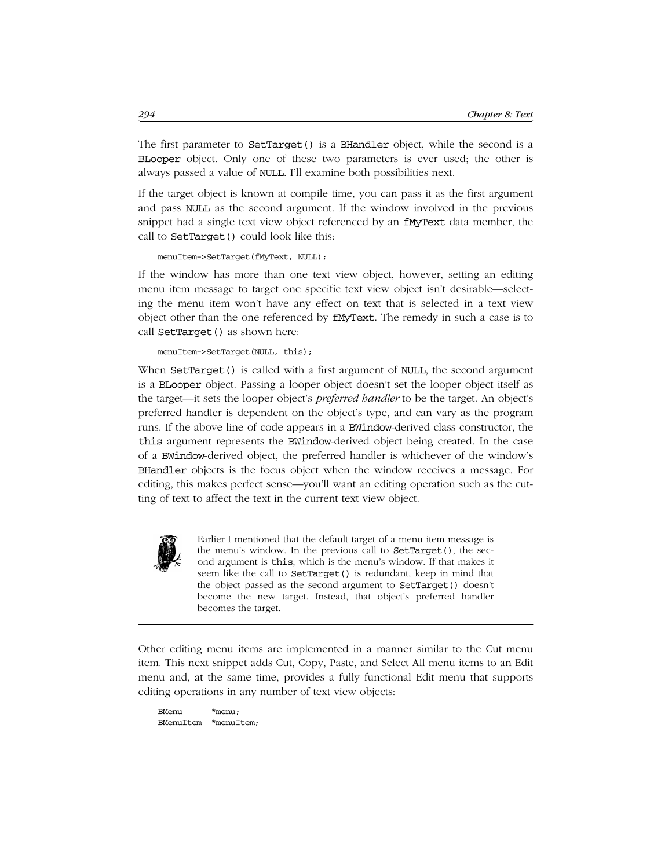The first parameter to SetTarget() is a BHandler object, while the second is a BLooper object. Only one of these two parameters is ever used; the other is always passed a value of NULL. I'll examine both possibilities next.

If the target object is known at compile time, you can pass it as the first argument and pass NULL as the second argument. If the window involved in the previous snippet had a single text view object referenced by an fMyText data member, the call to SetTarget() could look like this:

menuItem->SetTarget(fMyText, NULL);

If the window has more than one text view object, however, setting an editing menu item message to target one specific text view object isn't desirable—selecting the menu item won't have any effect on text that is selected in a text view object other than the one referenced by fMyText. The remedy in such a case is to call SetTarget() as shown here:

menuItem->SetTarget(NULL, this);

When SetTarget () is called with a first argument of NULL, the second argument is a BLooper object. Passing a looper object doesn't set the looper object itself as the target—it sets the looper object's *preferred handler* to be the target. An object's preferred handler is dependent on the object's type, and can vary as the program runs. If the above line of code appears in a BWindow-derived class constructor, the this argument represents the BWindow-derived object being created. In the case of a BWindow-derived object, the preferred handler is whichever of the window's BHandler objects is the focus object when the window receives a message. For editing, this makes perfect sense—you'll want an editing operation such as the cutting of text to affect the text in the current text view object.



Earlier I mentioned that the default target of a menu item message is the menu's window. In the previous call to SetTarget(), the second argument is this, which is the menu's window. If that makes it seem like the call to SetTarget() is redundant, keep in mind that the object passed as the second argument to SetTarget() doesn't become the new target. Instead, that object's preferred handler becomes the target.

Other editing menu items are implemented in a manner similar to the Cut menu item. This next snippet adds Cut, Copy, Paste, and Select All menu items to an Edit menu and, at the same time, provides a fully functional Edit menu that supports editing operations in any number of text view objects:

BMenu \*menu; BMenuItem \*menuItem;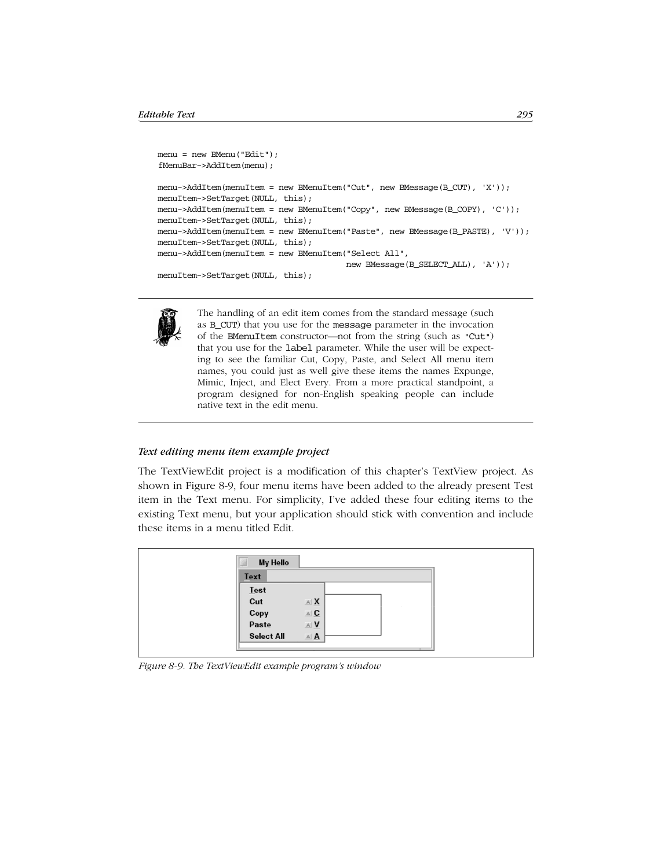```
menu = new BMenu("Edit");
fMenuBar->AddItem(menu);
menu->AddItem(menuItem = new BMenuItem("Cut", new BMessage(B_CUT), 'X'));
menuItem->SetTarget(NULL, this);
menu->AddItem(menuItem = new BMenuItem("Copy", new BMessage(B_COPY), 'C'));
menuItem->SetTarget(NULL, this);
menu->AddItem(menuItem = new BMenuItem("Paste", new BMessage(B_PASTE), 'V'));
menuItem->SetTarget(NULL, this);
menu->AddItem(menuItem = new BMenuItem("Select All",
                                        new BMessage(B_SELECT_ALL), 'A'));
menuItem->SetTarget(NULL, this);
```


The handling of an edit item comes from the standard message (such as B\_CUT) that you use for the message parameter in the invocation of the BMenuItem constructor—not from the string (such as "Cut") that you use for the label parameter. While the user will be expecting to see the familiar Cut, Copy, Paste, and Select All menu item names, you could just as well give these items the names Expunge, Mimic, Inject, and Elect Every. From a more practical standpoint, a program designed for non-English speaking people can include native text in the edit menu.

### *Text editing menu item example project*

The TextViewEdit project is a modification of this chapter's TextView project. As shown in Figure 8-9, four menu items have been added to the already present Test item in the Text menu. For simplicity, I've added these four editing items to the existing Text menu, but your application should stick with convention and include these items in a menu titled Edit.

| <b>My Hello</b> |                           |
|-----------------|---------------------------|
| Text            |                           |
| <b>Test</b>     |                           |
| Cut             | $A$ $X$                   |
| Copy            | $A$ $C$                   |
| Paste           | $\mathbf{A}$ $\mathbf{V}$ |
| Select All      | $A$ <b>A</b>              |
|                 |                           |

*Figure 8-9. The TextViewEdit example program's window*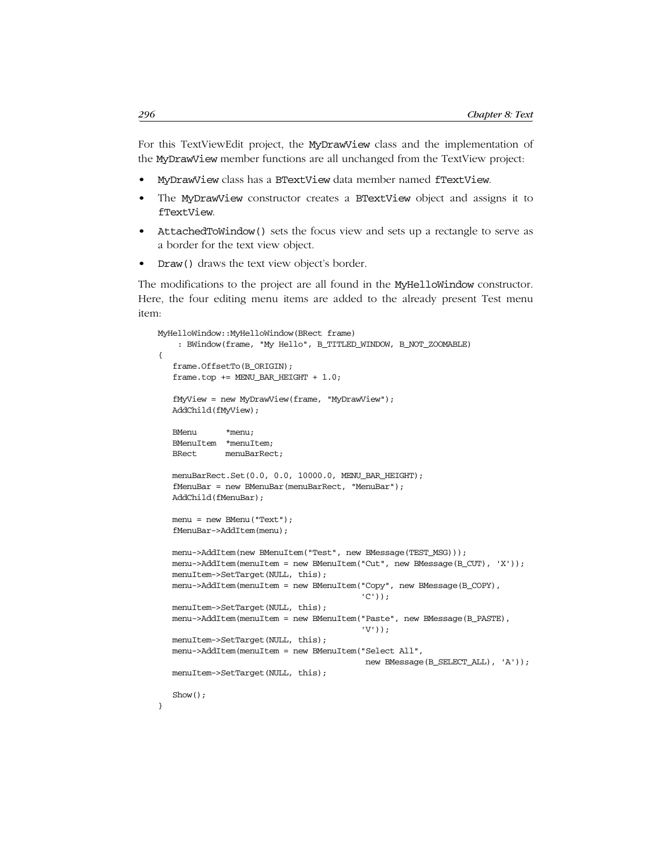For this TextViewEdit project, the MyDrawView class and the implementation of the MyDrawView member functions are all unchanged from the TextView project:

- MyDrawView class has a BTextView data member named fTextView.
- The MyDrawView constructor creates a BTextView object and assigns it to fTextView.
- AttachedToWindow() sets the focus view and sets up a rectangle to serve as a border for the text view object.
- Draw() draws the text view object's border.

The modifications to the project are all found in the MyHelloWindow constructor. Here, the four editing menu items are added to the already present Test menu item:

```
MyHelloWindow::MyHelloWindow(BRect frame)
     : BWindow(frame, "My Hello", B_TITLED_WINDOW, B_NOT_ZOOMABLE)
{
    frame.OffsetTo(B_ORIGIN);
    frame.top += MENU_BAR_HEIGHT + 1.0;
    fMyView = new MyDrawView(frame, "MyDrawView");
   AddChild(fMyView);
   BMenu *menu;
   BMenuItem *menuItem;
   BRect menuBarRect;
   menuBarRect.Set(0.0, 0.0, 10000.0, MENU_BAR_HEIGHT);
   fMenuBar = new BMenuBar(menuBarRect, "MenuBar");
   AddChild(fMenuBar);
  menu = new BMenu("Text");
    fMenuBar->AddItem(menu);
  menu->AddItem(new BMenuItem("Test", new BMessage(TEST_MSG)));
   menu->AddItem(menuItem = new BMenuItem("Cut", new BMessage(B_CUT), 'X'));
   menuItem->SetTarget(NULL, this);
  menu->AddItem(menuItem = new BMenuItem("Copy", new BMessage(B_COPY),
                                            'C'));
   menuItem->SetTarget(NULL, this);
   menu->AddItem(menuItem = new BMenuItem("Paste", new BMessage(B_PASTE),
                                            'V'));
   menuItem->SetTarget(NULL, this);
   menu->AddItem(menuItem = new BMenuItem("Select All",
                                            new BMessage(B_SELECT_ALL), 'A'));
   menuItem->SetTarget(NULL, this);
   Show();
}
```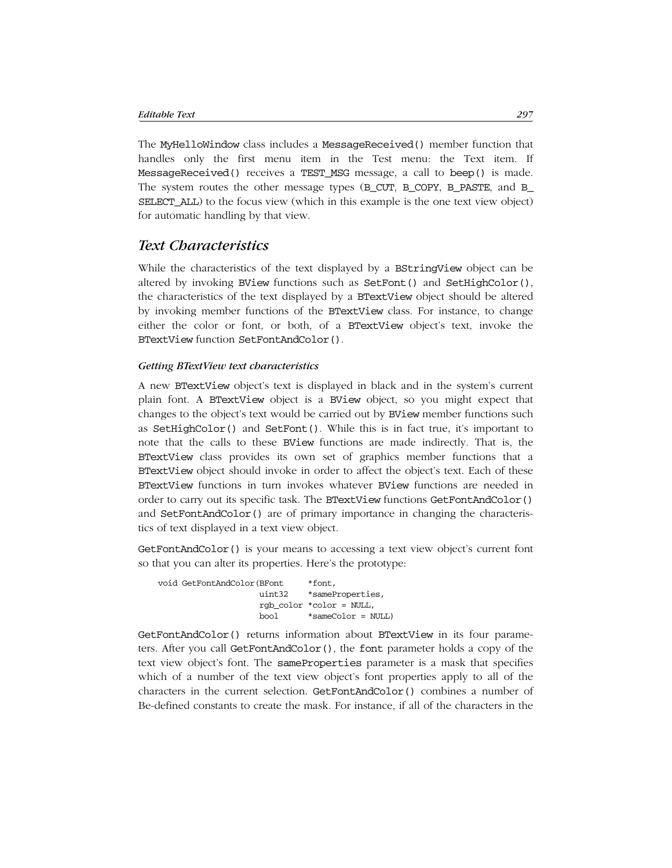The MyHelloWindow class includes a MessageReceived() member function that handles only the first menu item in the Test menu: the Text item. If MessageReceived() receives a TEST\_MSG message, a call to beep() is made. The system routes the other message types (B\_CUT, B\_COPY, B\_PASTE, and B\_ SELECT\_ALL) to the focus view (which in this example is the one text view object) for automatic handling by that view.

### *Text Characteristics*

While the characteristics of the text displayed by a BStringView object can be altered by invoking BView functions such as SetFont() and SetHighColor(), the characteristics of the text displayed by a BTextView object should be altered by invoking member functions of the BTextView class. For instance, to change either the color or font, or both, of a BTextView object's text, invoke the BTextView function SetFontAndColor().

### *Getting BTextView text characteristics*

A new BTextView object's text is displayed in black and in the system's current plain font. A BTextView object is a BView object, so you might expect that changes to the object's text would be carried out by BView member functions such as SetHighColor() and SetFont(). While this is in fact true, it's important to note that the calls to these BView functions are made indirectly. That is, the BTextView class provides its own set of graphics member functions that a BTextView object should invoke in order to affect the object's text. Each of these BTextView functions in turn invokes whatever BView functions are needed in order to carry out its specific task. The BTextView functions GetFontAndColor() and SetFontAndColor() are of primary importance in changing the characteristics of text displayed in a text view object.

GetFontAndColor() is your means to accessing a text view object's current font so that you can alter its properties. Here's the prototype:

| void GetFontAndColor (BFont |        | *font,                   |
|-----------------------------|--------|--------------------------|
|                             | uint32 | *sameProperties,         |
|                             |        | rgb color *color = NULL, |
|                             | boo1   | $*$ sameColor = NULL)    |

GetFontAndColor() returns information about BTextView in its four parameters. After you call GetFontAndColor(), the font parameter holds a copy of the text view object's font. The sameProperties parameter is a mask that specifies which of a number of the text view object's font properties apply to all of the characters in the current selection. GetFontAndColor() combines a number of Be-defined constants to create the mask. For instance, if all of the characters in the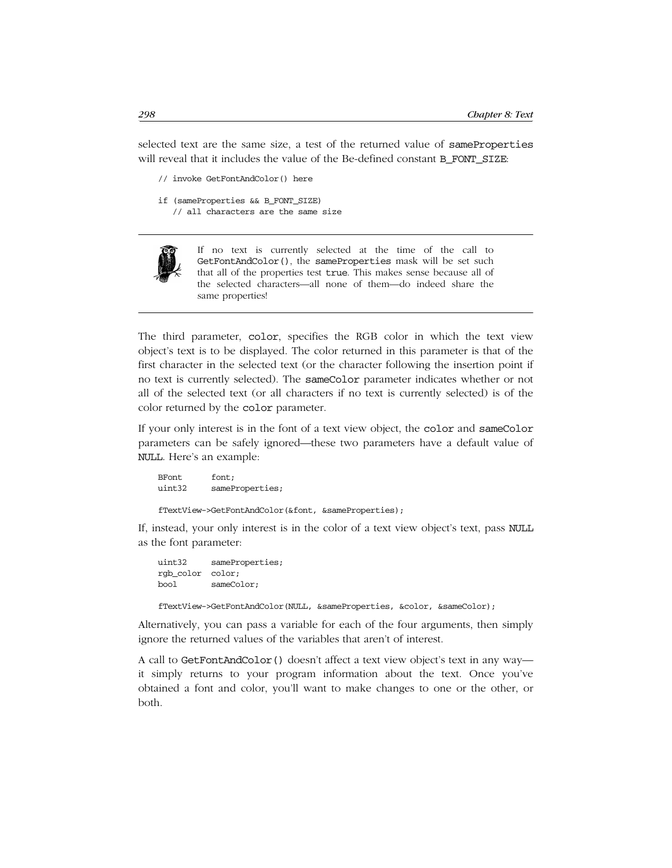selected text are the same size, a test of the returned value of sameProperties will reveal that it includes the value of the Be-defined constant B\_FONT\_SIZE:

```
// invoke GetFontAndColor() here
if (sameProperties && B_FONT_SIZE)
   // all characters are the same size
```


If no text is currently selected at the time of the call to GetFontAndColor(), the sameProperties mask will be set such that all of the properties test true. This makes sense because all of the selected characters—all none of them—do indeed share the same properties!

The third parameter, color, specifies the RGB color in which the text view object's text is to be displayed. The color returned in this parameter is that of the first character in the selected text (or the character following the insertion point if no text is currently selected). The sameColor parameter indicates whether or not all of the selected text (or all characters if no text is currently selected) is of the color returned by the color parameter.

If your only interest is in the font of a text view object, the color and sameColor parameters can be safely ignored—these two parameters have a default value of NULL. Here's an example:

```
BFont font;
uint32 sameProperties;
```
fTextView->GetFontAndColor(&font, &sameProperties);

If, instead, your only interest is in the color of a text view object's text, pass NULL as the font parameter:

uint32 sameProperties; rgb\_color color; bool sameColor;

fTextView->GetFontAndColor(NULL, &sameProperties, &color, &sameColor);

Alternatively, you can pass a variable for each of the four arguments, then simply ignore the returned values of the variables that aren't of interest.

A call to GetFontAndColor() doesn't affect a text view object's text in any way it simply returns to your program information about the text. Once you've obtained a font and color, you'll want to make changes to one or the other, or both.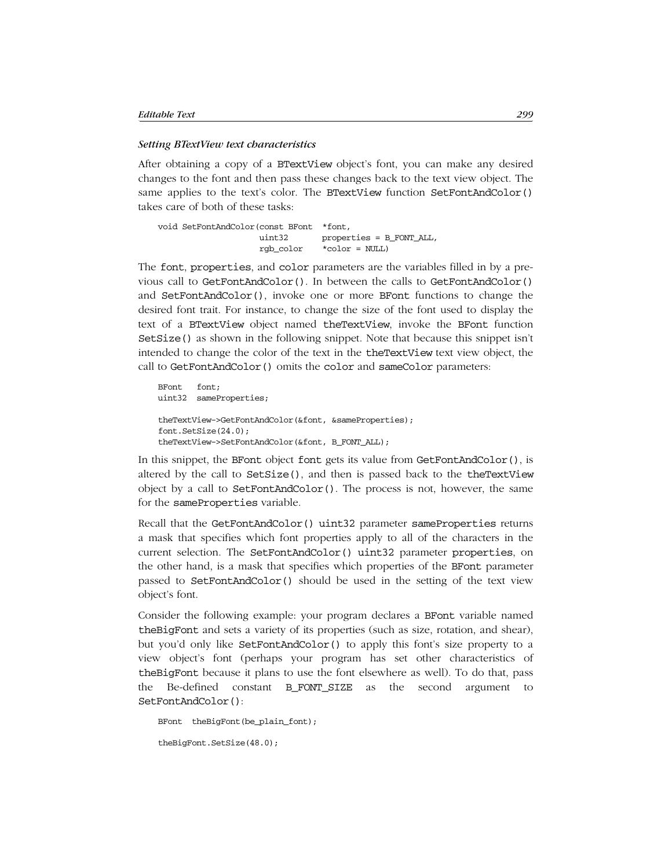### *Setting BTextView text characteristics*

After obtaining a copy of a BTextView object's font, you can make any desired changes to the font and then pass these changes back to the text view object. The same applies to the text's color. The BTextView function SetFontAndColor() takes care of both of these tasks:

void SetFontAndColor(const BFont \*font, uint32 properties = B\_FONT\_ALL, rgb\_color \*color = NULL)

The font, properties, and color parameters are the variables filled in by a previous call to GetFontAndColor(). In between the calls to GetFontAndColor() and SetFontAndColor(), invoke one or more BFont functions to change the desired font trait. For instance, to change the size of the font used to display the text of a BTextView object named theTextView, invoke the BFont function SetSize() as shown in the following snippet. Note that because this snippet isn't intended to change the color of the text in the theTextView text view object, the call to GetFontAndColor() omits the color and sameColor parameters:

```
BFont font;
uint32 sameProperties;
theTextView->GetFontAndColor(&font, &sameProperties);
font.SetSize(24.0);
theTextView->SetFontAndColor(&font, B_FONT_ALL);
```
In this snippet, the BFont object font gets its value from GetFontAndColor(), is altered by the call to SetSize(), and then is passed back to the theTextView object by a call to SetFontAndColor(). The process is not, however, the same for the sameProperties variable.

Recall that the GetFontAndColor() uint32 parameter sameProperties returns a mask that specifies which font properties apply to all of the characters in the current selection. The SetFontAndColor() uint32 parameter properties, on the other hand, is a mask that specifies which properties of the BFont parameter passed to SetFontAndColor() should be used in the setting of the text view object's font.

Consider the following example: your program declares a BFont variable named theBigFont and sets a variety of its properties (such as size, rotation, and shear), but you'd only like SetFontAndColor() to apply this font's size property to a view object's font (perhaps your program has set other characteristics of theBigFont because it plans to use the font elsewhere as well). To do that, pass the Be-defined constant B\_FONT\_SIZE as the second argument to SetFontAndColor():

```
BFont theBigFont(be_plain_font);
theBigFont.SetSize(48.0);
```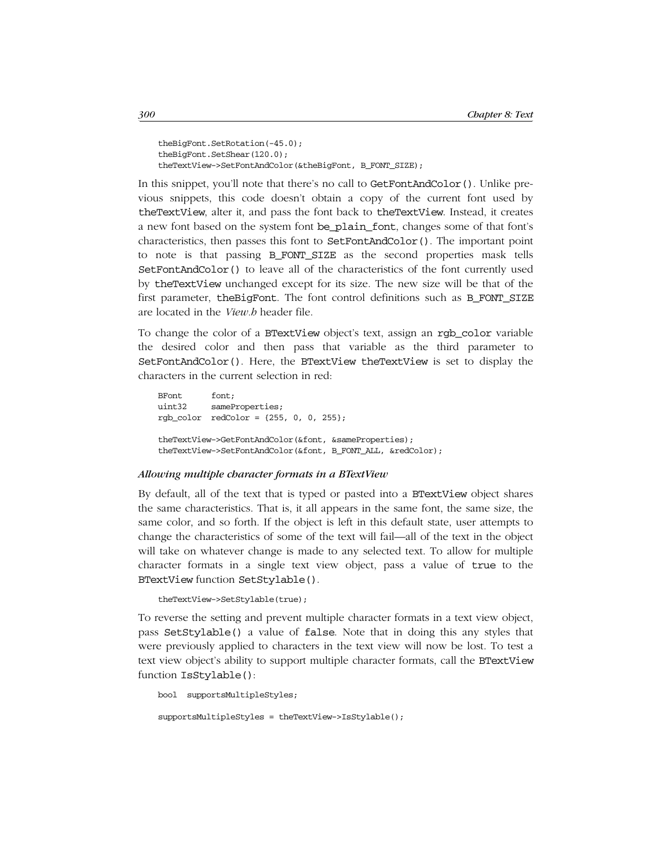```
theBigFont.SetRotation(-45.0);
theBigFont.SetShear(120.0);
theTextView->SetFontAndColor(&theBigFont, B_FONT_SIZE);
```
In this snippet, you'll note that there's no call to GetFontAndColor(). Unlike previous snippets, this code doesn't obtain a copy of the current font used by theTextView, alter it, and pass the font back to theTextView. Instead, it creates a new font based on the system font be\_plain\_font, changes some of that font's characteristics, then passes this font to SetFontAndColor(). The important point to note is that passing B\_FONT\_SIZE as the second properties mask tells SetFontAndColor() to leave all of the characteristics of the font currently used by theTextView unchanged except for its size. The new size will be that of the first parameter, theBigFont. The font control definitions such as B\_FONT\_SIZE are located in the *View.h* header file.

To change the color of a BTextView object's text, assign an rgb\_color variable the desired color and then pass that variable as the third parameter to SetFontAndColor(). Here, the BTextView theTextView is set to display the characters in the current selection in red:

```
BFont font;
uint32 sameProperties;
rgb_color redColor = {255, 0, 0, 255};
theTextView->GetFontAndColor(&font, &sameProperties);
theTextView->SetFontAndColor(&font, B_FONT_ALL, &redColor);
```
### *Allowing multiple character formats in a BTextView*

By default, all of the text that is typed or pasted into a BTextView object shares the same characteristics. That is, it all appears in the same font, the same size, the same color, and so forth. If the object is left in this default state, user attempts to change the characteristics of some of the text will fail—all of the text in the object will take on whatever change is made to any selected text. To allow for multiple character formats in a single text view object, pass a value of true to the BTextView function SetStylable().

```
theTextView->SetStylable(true);
```
To reverse the setting and prevent multiple character formats in a text view object, pass SetStylable() a value of false. Note that in doing this any styles that were previously applied to characters in the text view will now be lost. To test a text view object's ability to support multiple character formats, call the BTextView function IsStylable():

```
bool supportsMultipleStyles;
supportsMultipleStyles = theTextView->IsStylable();
```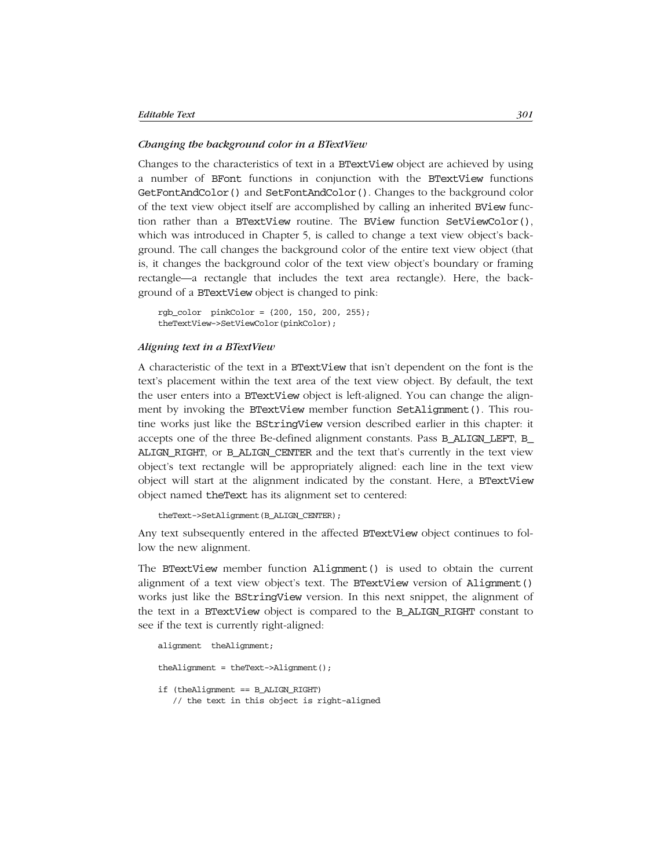### *Changing the background color in a BTextView*

Changes to the characteristics of text in a BTextView object are achieved by using a number of BFont functions in conjunction with the BTextView functions GetFontAndColor() and SetFontAndColor(). Changes to the background color of the text view object itself are accomplished by calling an inherited BView function rather than a BTextView routine. The BView function SetViewColor(), which was introduced in Chapter 5, is called to change a text view object's background. The call changes the background color of the entire text view object (that is, it changes the background color of the text view object's boundary or framing rectangle—a rectangle that includes the text area rectangle). Here, the background of a BTextView object is changed to pink:

rgb\_color pinkColor = {200, 150, 200, 255}; theTextView->SetViewColor(pinkColor);

### *Aligning text in a BTextView*

A characteristic of the text in a BTextView that isn't dependent on the font is the text's placement within the text area of the text view object. By default, the text the user enters into a BTextView object is left-aligned. You can change the alignment by invoking the BTextView member function SetAlignment(). This routine works just like the BStringView version described earlier in this chapter: it accepts one of the three Be-defined alignment constants. Pass B\_ALIGN\_LEFT, B\_ ALIGN\_RIGHT, or B\_ALIGN\_CENTER and the text that's currently in the text view object's text rectangle will be appropriately aligned: each line in the text view object will start at the alignment indicated by the constant. Here, a BTextView object named theText has its alignment set to centered:

```
theText->SetAlignment(B_ALIGN_CENTER);
```
Any text subsequently entered in the affected BTextView object continues to follow the new alignment.

The BTextView member function Alignment() is used to obtain the current alignment of a text view object's text. The BTextView version of Alignment() works just like the BStringView version. In this next snippet, the alignment of the text in a BTextView object is compared to the B\_ALIGN\_RIGHT constant to see if the text is currently right-aligned:

```
alignment theAlignment;
theAlignment = theText->Alignment();
if (theAlignment == B_ALIGN_RIGHT)
    // the text in this object is right-aligned
```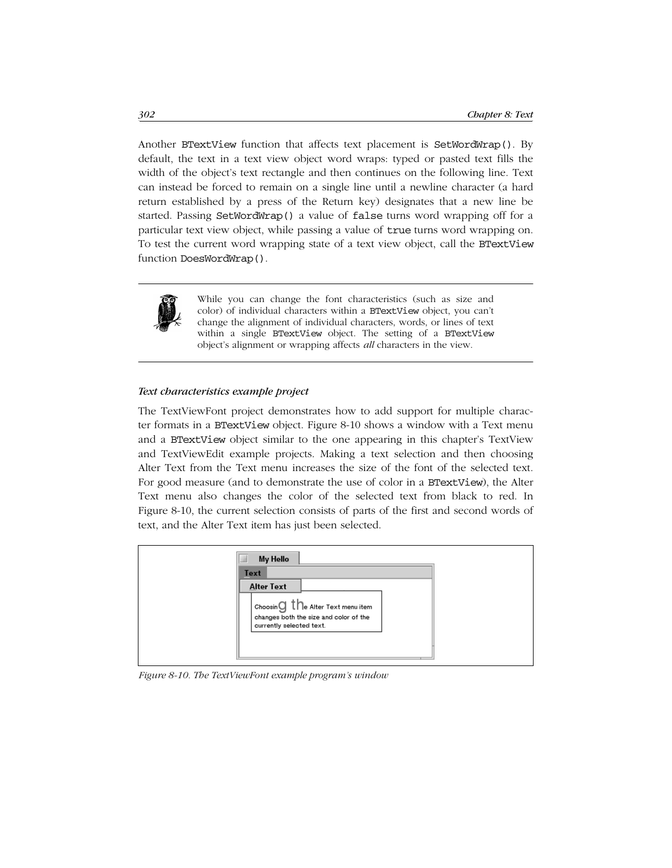Another BTextView function that affects text placement is SetWordWrap(). By default, the text in a text view object word wraps: typed or pasted text fills the width of the object's text rectangle and then continues on the following line. Text can instead be forced to remain on a single line until a newline character (a hard return established by a press of the Return key) designates that a new line be started. Passing SetWordWrap() a value of false turns word wrapping off for a particular text view object, while passing a value of true turns word wrapping on. To test the current word wrapping state of a text view object, call the BTextView function DoesWordWrap().



While you can change the font characteristics (such as size and color) of individual characters within a BTextView object, you can't change the alignment of individual characters, words, or lines of text within a single BTextView object. The setting of a BTextView object's alignment or wrapping affects *all* characters in the view.

### *Text characteristics example project*

The TextViewFont project demonstrates how to add support for multiple character formats in a BTextView object. Figure 8-10 shows a window with a Text menu and a BTextView object similar to the one appearing in this chapter's TextView and TextViewEdit example projects. Making a text selection and then choosing Alter Text from the Text menu increases the size of the font of the selected text. For good measure (and to demonstrate the use of color in a BTextView), the Alter Text menu also changes the color of the selected text from black to red. In Figure 8-10, the current selection consists of parts of the first and second words of text, and the Alter Text item has just been selected.

| My Hello                                                                                                                              |
|---------------------------------------------------------------------------------------------------------------------------------------|
| Text<br><b>Alter Text</b>                                                                                                             |
| $!$ Choosin $\mathrm{g}\thinspace$ $\ln$ e Alter Text menu item<br>changes both the size and color of the<br>currently selected text. |

*Figure 8-10. The TextViewFont example program's window*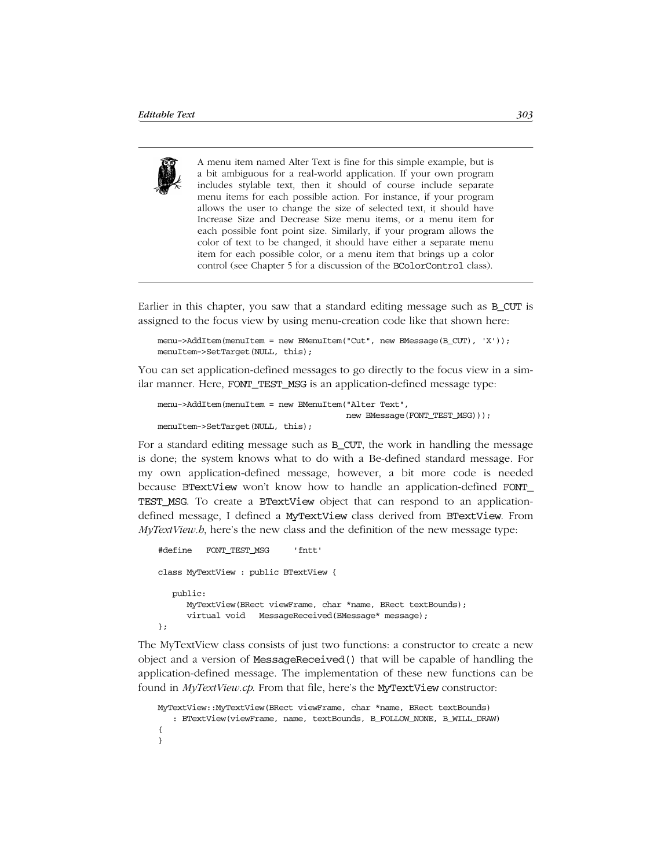

A menu item named Alter Text is fine for this simple example, but is a bit ambiguous for a real-world application. If your own program includes stylable text, then it should of course include separate menu items for each possible action. For instance, if your program allows the user to change the size of selected text, it should have Increase Size and Decrease Size menu items, or a menu item for each possible font point size. Similarly, if your program allows the color of text to be changed, it should have either a separate menu item for each possible color, or a menu item that brings up a color control (see Chapter 5 for a discussion of the BColorControl class).

Earlier in this chapter, you saw that a standard editing message such as B\_CUT is assigned to the focus view by using menu-creation code like that shown here:

```
menu->AddItem(menuItem = new BMenuItem("Cut", new BMessage(B_CUT), 'X'));
menuItem->SetTarget(NULL, this);
```
You can set application-defined messages to go directly to the focus view in a similar manner. Here, FONT\_TEST\_MSG is an application-defined message type:

```
menu->AddItem(menuItem = new BMenuItem("Alter Text",
                                        new BMessage(FONT_TEST_MSG)));
menuItem->SetTarget(NULL, this);
```
For a standard editing message such as **B\_CUT**, the work in handling the message is done; the system knows what to do with a Be-defined standard message. For my own application-defined message, however, a bit more code is needed because BTextView won't know how to handle an application-defined FONT\_ TEST\_MSG. To create a BTextView object that can respond to an applicationdefined message, I defined a MyTextView class derived from BTextView. From *MyTextView.h*, here's the new class and the definition of the new message type:

```
#define FONT_TEST_MSG 'fntt'
class MyTextView : public BTextView {
   public:
      MyTextView(BRect viewFrame, char *name, BRect textBounds);
      virtual void MessageReceived(BMessage* message);
};
```
The MyTextView class consists of just two functions: a constructor to create a new object and a version of MessageReceived() that will be capable of handling the application-defined message. The implementation of these new functions can be found in *MyTextView.cp*. From that file, here's the MyTextView constructor:

```
MyTextView::MyTextView(BRect viewFrame, char *name, BRect textBounds)
    : BTextView(viewFrame, name, textBounds, B_FOLLOW_NONE, B_WILL_DRAW)
{
}
```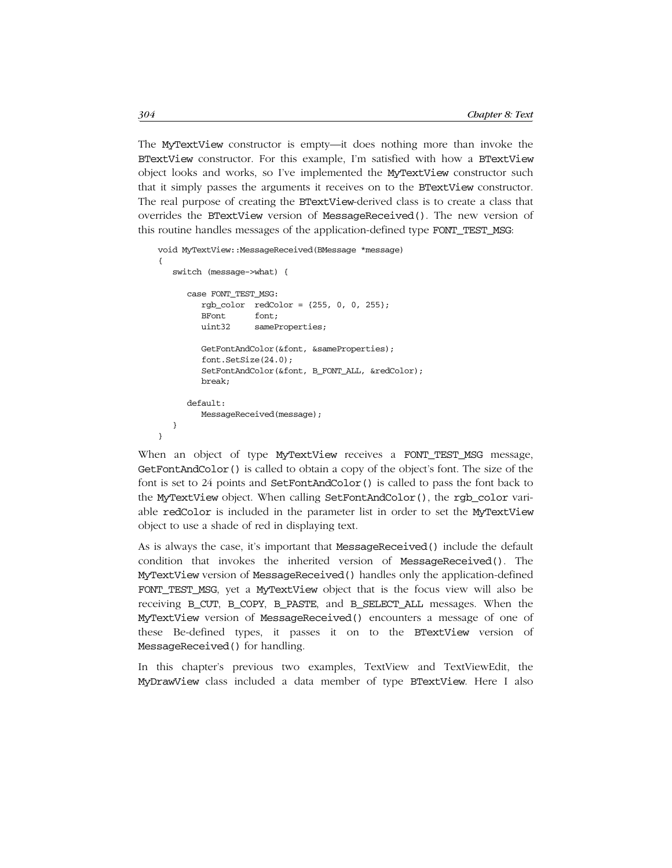The MyTextView constructor is empty—it does nothing more than invoke the BTextView constructor. For this example, I'm satisfied with how a BTextView object looks and works, so I've implemented the MyTextView constructor such that it simply passes the arguments it receives on to the BTextView constructor. The real purpose of creating the BTextView-derived class is to create a class that overrides the BTextView version of MessageReceived(). The new version of this routine handles messages of the application-defined type FONT\_TEST\_MSG:

```
void MyTextView::MessageReceived(BMessage *message)
{
   switch (message->what) {
      case FONT_TEST_MSG:
        rgb\_color = {255, 0, 0, 255}; BFont font;
         uint32 sameProperties;
         GetFontAndColor(&font, &sameProperties);
         font.SetSize(24.0);
         SetFontAndColor(&font, B_FONT_ALL, &redColor);
         break;
      default:
         MessageReceived(message);
   }
}
```
When an object of type MyTextView receives a FONT TEST MSG message, GetFontAndColor() is called to obtain a copy of the object's font. The size of the font is set to 24 points and SetFontAndColor() is called to pass the font back to the MyTextView object. When calling SetFontAndColor(), the rgb\_color variable redColor is included in the parameter list in order to set the MyTextView object to use a shade of red in displaying text.

As is always the case, it's important that MessageReceived() include the default condition that invokes the inherited version of MessageReceived(). The MyTextView version of MessageReceived() handles only the application-defined FONT\_TEST\_MSG, yet a MyTextView object that is the focus view will also be receiving B\_CUT, B\_COPY, B\_PASTE, and B\_SELECT\_ALL messages. When the MyTextView version of MessageReceived() encounters a message of one of these Be-defined types, it passes it on to the BTextView version of MessageReceived() for handling.

In this chapter's previous two examples, TextView and TextViewEdit, the MyDrawView class included a data member of type BTextView. Here I also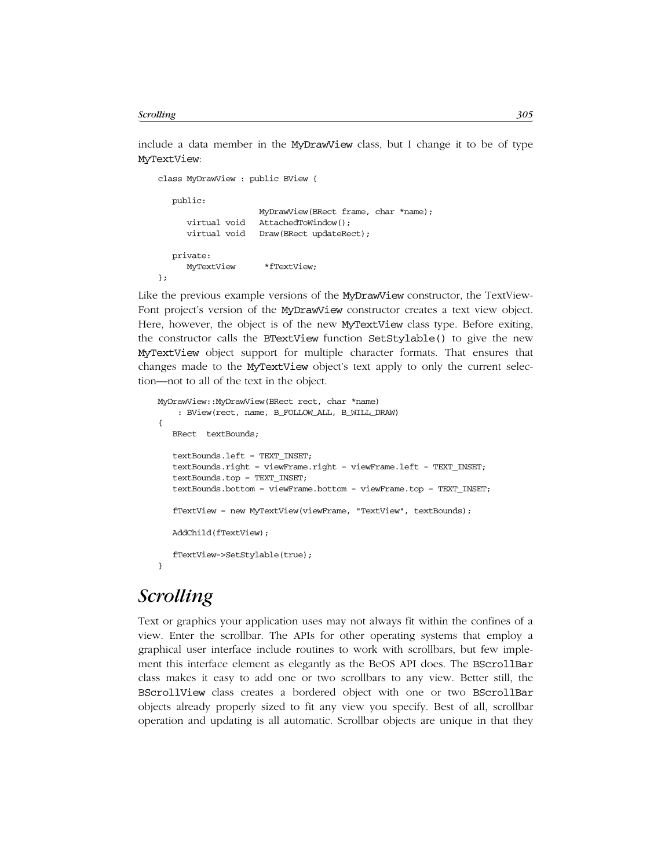include a data member in the MyDrawView class, but I change it to be of type MyTextView:

```
class MyDrawView : public BView {
   public:
                     MyDrawView(BRect frame, char *name);
      virtual void AttachedToWindow();
       virtual void Draw(BRect updateRect);
   private:
      MyTextView *fTextView;
};
```
Like the previous example versions of the MyDrawView constructor, the TextView-Font project's version of the MyDrawView constructor creates a text view object. Here, however, the object is of the new MyTextView class type. Before exiting, the constructor calls the BTextView function SetStylable() to give the new MyTextView object support for multiple character formats. That ensures that changes made to the MyTextView object's text apply to only the current selection—not to all of the text in the object.

```
MyDrawView::MyDrawView(BRect rect, char *name)
     : BView(rect, name, B_FOLLOW_ALL, B_WILL_DRAW)
{
    BRect textBounds;
    textBounds.left = TEXT_INSET;
    textBounds.right = viewFrame.right - viewFrame.left - TEXT_INSET;
    textBounds.top = TEXT_INSET;
    textBounds.bottom = viewFrame.bottom - viewFrame.top - TEXT_INSET;
    fTextView = new MyTextView(viewFrame, "TextView", textBounds);
    AddChild(fTextView);
    fTextView->SetStylable(true);
}
```
# *Scrolling*

Text or graphics your application uses may not always fit within the confines of a view. Enter the scrollbar. The APIs for other operating systems that employ a graphical user interface include routines to work with scrollbars, but few implement this interface element as elegantly as the BeOS API does. The BScrollBar class makes it easy to add one or two scrollbars to any view. Better still, the BScrollView class creates a bordered object with one or two BScrollBar objects already properly sized to fit any view you specify. Best of all, scrollbar operation and updating is all automatic. Scrollbar objects are unique in that they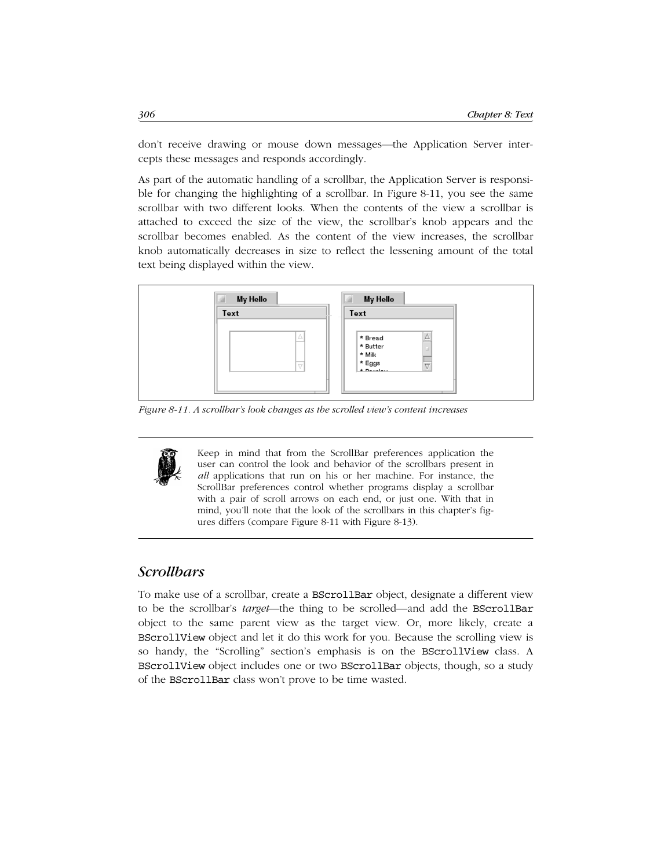don't receive drawing or mouse down messages—the Application Server intercepts these messages and responds accordingly.

As part of the automatic handling of a scrollbar, the Application Server is responsible for changing the highlighting of a scrollbar. In Figure 8-11, you see the same scrollbar with two different looks. When the contents of the view a scrollbar is attached to exceed the size of the view, the scrollbar's knob appears and the scrollbar becomes enabled. As the content of the view increases, the scrollbar knob automatically decreases in size to reflect the lessening amount of the total text being displayed within the view.



*Figure 8-11. A scrollbar's look changes as the scrolled view's content increases*



Keep in mind that from the ScrollBar preferences application the user can control the look and behavior of the scrollbars present in *all* applications that run on his or her machine. For instance, the ScrollBar preferences control whether programs display a scrollbar with a pair of scroll arrows on each end, or just one. With that in mind, you'll note that the look of the scrollbars in this chapter's figures differs (compare Figure 8-11 with Figure 8-13).

## *Scrollbars*

To make use of a scrollbar, create a BScrollBar object, designate a different view to be the scrollbar's *target—*the thing to be scrolled—and add the BScrollBar object to the same parent view as the target view. Or, more likely, create a BScrollView object and let it do this work for you. Because the scrolling view is so handy, the "Scrolling" section's emphasis is on the BScrollView class. A BScrollView object includes one or two BScrollBar objects, though, so a study of the BScrollBar class won't prove to be time wasted.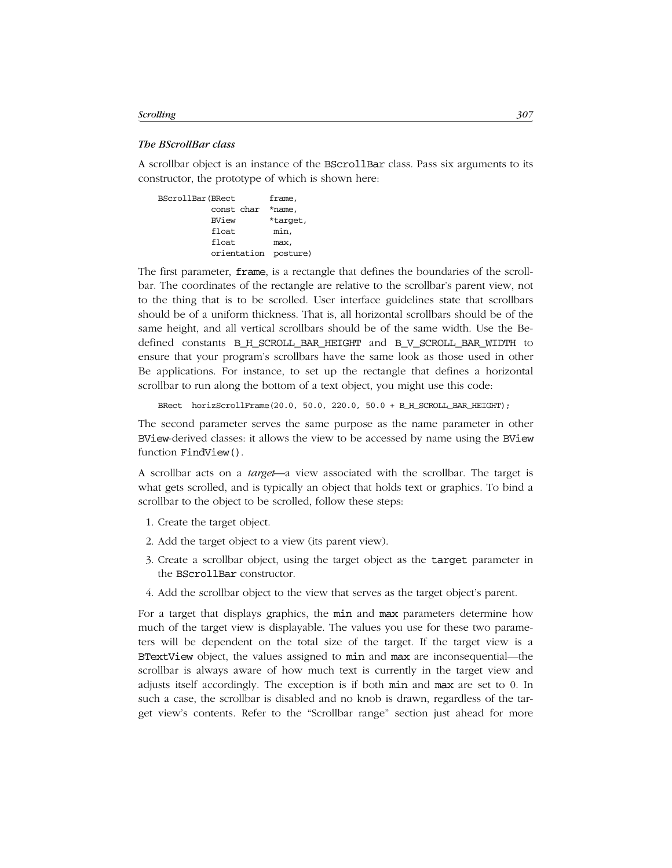### *The BScrollBar class*

A scrollbar object is an instance of the BScrollBar class. Pass six arguments to its constructor, the prototype of which is shown here:

BScrollBar(BRect frame, const char \*name, BView \*target, float min, float max, orientation posture)

The first parameter, frame, is a rectangle that defines the boundaries of the scrollbar. The coordinates of the rectangle are relative to the scrollbar's parent view, not to the thing that is to be scrolled. User interface guidelines state that scrollbars should be of a uniform thickness. That is, all horizontal scrollbars should be of the same height, and all vertical scrollbars should be of the same width. Use the Bedefined constants B\_H\_SCROLL\_BAR\_HEIGHT and B\_V\_SCROLL\_BAR\_WIDTH to ensure that your program's scrollbars have the same look as those used in other Be applications. For instance, to set up the rectangle that defines a horizontal scrollbar to run along the bottom of a text object, you might use this code:

BRect horizScrollFrame(20.0, 50.0, 220.0, 50.0 + B\_H\_SCROLL\_BAR\_HEIGHT);

The second parameter serves the same purpose as the name parameter in other BView-derived classes: it allows the view to be accessed by name using the BView function FindView().

A scrollbar acts on a *target—*a view associated with the scrollbar. The target is what gets scrolled, and is typically an object that holds text or graphics. To bind a scrollbar to the object to be scrolled, follow these steps:

- 1. Create the target object.
- 2. Add the target object to a view (its parent view).
- 3. Create a scrollbar object, using the target object as the target parameter in the BScrollBar constructor.
- 4. Add the scrollbar object to the view that serves as the target object's parent.

For a target that displays graphics, the min and max parameters determine how much of the target view is displayable. The values you use for these two parameters will be dependent on the total size of the target. If the target view is a BTextView object, the values assigned to min and max are inconsequential—the scrollbar is always aware of how much text is currently in the target view and adjusts itself accordingly. The exception is if both min and max are set to 0. In such a case, the scrollbar is disabled and no knob is drawn, regardless of the target view's contents. Refer to the "Scrollbar range" section just ahead for more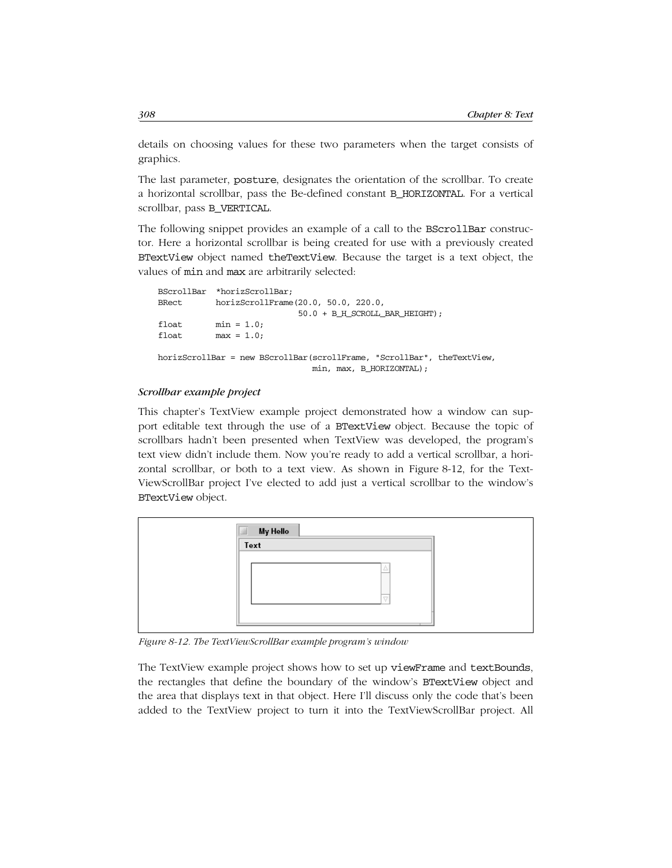details on choosing values for these two parameters when the target consists of graphics.

The last parameter, posture, designates the orientation of the scrollbar. To create a horizontal scrollbar, pass the Be-defined constant B\_HORIZONTAL. For a vertical scrollbar, pass B\_VERTICAL.

The following snippet provides an example of a call to the BScrollBar constructor. Here a horizontal scrollbar is being created for use with a previously created BTextView object named theTextView. Because the target is a text object, the values of min and max are arbitrarily selected:

```
BScrollBar *horizScrollBar;
BRect horizScrollFrame(20.0, 50.0, 220.0,
                            50.0 + B_H_SCROLL_BAR_HEIGHT);
float min = 1.0;
float max = 1.0;
horizScrollBar = new BScrollBar(scrollFrame, "ScrollBar", theTextView,
                               min, max, B_HORIZONTAL);
```
### *Scrollbar example project*

This chapter's TextView example project demonstrated how a window can support editable text through the use of a BTextView object. Because the topic of scrollbars hadn't been presented when TextView was developed, the program's text view didn't include them. Now you're ready to add a vertical scrollbar, a horizontal scrollbar, or both to a text view. As shown in Figure 8-12, for the Text-ViewScrollBar project I've elected to add just a vertical scrollbar to the window's BTextView object.



*Figure 8-12. The TextViewScrollBar example program's window*

The TextView example project shows how to set up viewFrame and textBounds, the rectangles that define the boundary of the window's BTextView object and the area that displays text in that object. Here I'll discuss only the code that's been added to the TextView project to turn it into the TextViewScrollBar project. All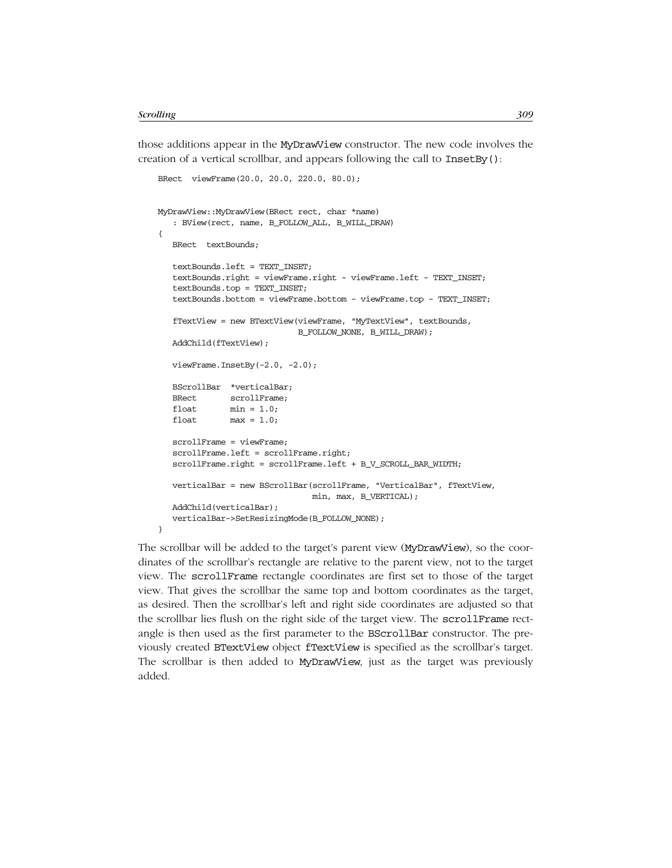those additions appear in the MyDrawView constructor. The new code involves the creation of a vertical scrollbar, and appears following the call to InsetBy():

```
BRect viewFrame(20.0, 20.0, 220.0, 80.0);
MyDrawView::MyDrawView(BRect rect, char *name)
    : BView(rect, name, B_FOLLOW_ALL, B_WILL_DRAW)
{
   BRect textBounds;
    textBounds.left = TEXT_INSET;
   textBounds.right = viewFrame.right - viewFrame.left - TEXT_INSET;
    textBounds.top = TEXT_INSET;
    textBounds.bottom = viewFrame.bottom - viewFrame.top - TEXT_INSET;
    fTextView = new BTextView(viewFrame, "MyTextView", textBounds,
                              B_FOLLOW_NONE, B_WILL_DRAW);
    AddChild(fTextView);
   viewFrame.InsetBy(-2.0, -2.0);
    BScrollBar *verticalBar;
    BRect scrollFrame;
   float min = 1.0;
   float max = 1.0;
    scrollFrame = viewFrame;
   scrollFrame.left = scrollFrame.right;
   scrollFrame.right = scrollFrame.left + B_V_SCROLL_BAR_WIDTH;
    verticalBar = new BScrollBar(scrollFrame, "VerticalBar", fTextView,
                                 min, max, B_VERTICAL);
    AddChild(verticalBar);
    verticalBar->SetResizingMode(B_FOLLOW_NONE);
}
```
The scrollbar will be added to the target's parent view (MyDrawView), so the coordinates of the scrollbar's rectangle are relative to the parent view, not to the target view. The scrollFrame rectangle coordinates are first set to those of the target view. That gives the scrollbar the same top and bottom coordinates as the target, as desired. Then the scrollbar's left and right side coordinates are adjusted so that the scrollbar lies flush on the right side of the target view. The scrollFrame rectangle is then used as the first parameter to the BScrollBar constructor. The previously created BTextView object fTextView is specified as the scrollbar's target. The scrollbar is then added to MyDrawView, just as the target was previously added.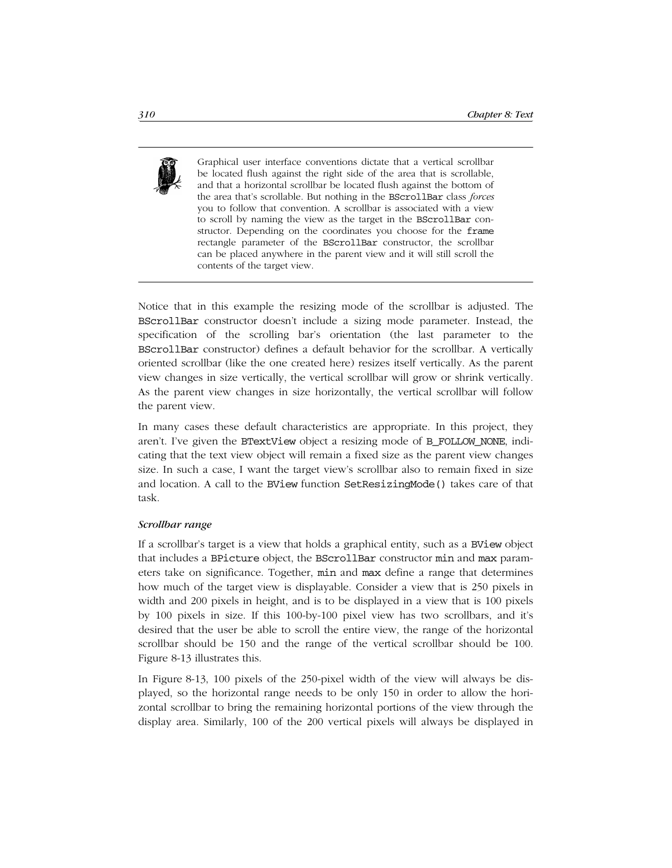

Graphical user interface conventions dictate that a vertical scrollbar be located flush against the right side of the area that is scrollable, and that a horizontal scrollbar be located flush against the bottom of the area that's scrollable. But nothing in the BScrollBar class *forces* you to follow that convention. A scrollbar is associated with a view to scroll by naming the view as the target in the BScrollBar constructor. Depending on the coordinates you choose for the frame rectangle parameter of the BScrollBar constructor, the scrollbar can be placed anywhere in the parent view and it will still scroll the contents of the target view.

Notice that in this example the resizing mode of the scrollbar is adjusted. The BScrollBar constructor doesn't include a sizing mode parameter. Instead, the specification of the scrolling bar's orientation (the last parameter to the BScrollBar constructor) defines a default behavior for the scrollbar. A vertically oriented scrollbar (like the one created here) resizes itself vertically. As the parent view changes in size vertically, the vertical scrollbar will grow or shrink vertically. As the parent view changes in size horizontally, the vertical scrollbar will follow the parent view.

In many cases these default characteristics are appropriate. In this project, they aren't. I've given the BTextView object a resizing mode of B\_FOLLOW\_NONE, indicating that the text view object will remain a fixed size as the parent view changes size. In such a case, I want the target view's scrollbar also to remain fixed in size and location. A call to the BView function SetResizingMode() takes care of that task.

### *Scrollbar range*

If a scrollbar's target is a view that holds a graphical entity, such as a BView object that includes a BPicture object, the BScrollBar constructor min and max parameters take on significance. Together, min and max define a range that determines how much of the target view is displayable. Consider a view that is 250 pixels in width and 200 pixels in height, and is to be displayed in a view that is 100 pixels by 100 pixels in size. If this 100-by-100 pixel view has two scrollbars, and it's desired that the user be able to scroll the entire view, the range of the horizontal scrollbar should be 150 and the range of the vertical scrollbar should be 100. Figure 8-13 illustrates this.

In Figure 8-13, 100 pixels of the 250-pixel width of the view will always be displayed, so the horizontal range needs to be only 150 in order to allow the horizontal scrollbar to bring the remaining horizontal portions of the view through the display area. Similarly, 100 of the 200 vertical pixels will always be displayed in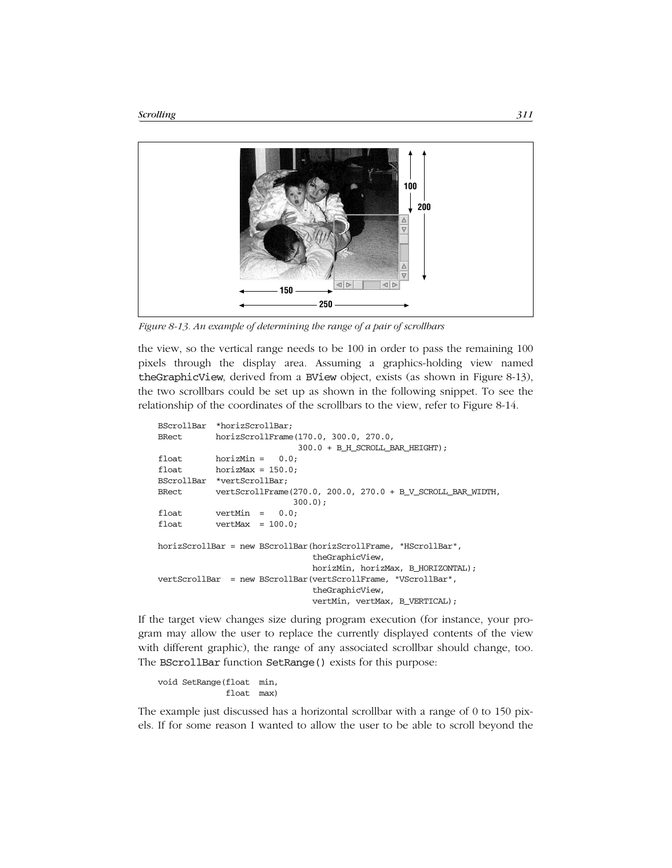

*Figure 8-13. An example of determining the range of a pair of scrollbars*

the view, so the vertical range needs to be 100 in order to pass the remaining 100 pixels through the display area. Assuming a graphics-holding view named theGraphicView, derived from a BView object, exists (as shown in Figure 8-13), the two scrollbars could be set up as shown in the following snippet. To see the relationship of the coordinates of the scrollbars to the view, refer to Figure 8-14.

```
BScrollBar *horizScrollBar;
BRect horizScrollFrame(170.0, 300.0, 270.0,
                             300.0 + B_H_SCROLL_BAR_HEIGHT);
float horizMin = 0.0;
float horizMax = 150.0;
BScrollBar *vertScrollBar;
BRect vertScrollFrame(270.0, 200.0, 270.0 + B_V_SCROLL_BAR_WIDTH,
                            300.0);
float vertMin = 0.0;
float \qquad \text{vertMax} \qquad = 100.0;horizScrollBar = new BScrollBar(horizScrollFrame, "HScrollBar",
                                theGraphicView,
                                horizMin, horizMax, B_HORIZONTAL);
vertScrollBar = new BScrollBar(vertScrollFrame, "VScrollBar",
                                theGraphicView,
                                vertMin, vertMax, B_VERTICAL);
```
If the target view changes size during program execution (for instance, your program may allow the user to replace the currently displayed contents of the view with different graphic), the range of any associated scrollbar should change, too. The BScrollBar function SetRange() exists for this purpose:

void SetRange(float min, float max)

The example just discussed has a horizontal scrollbar with a range of 0 to 150 pixels. If for some reason I wanted to allow the user to be able to scroll beyond the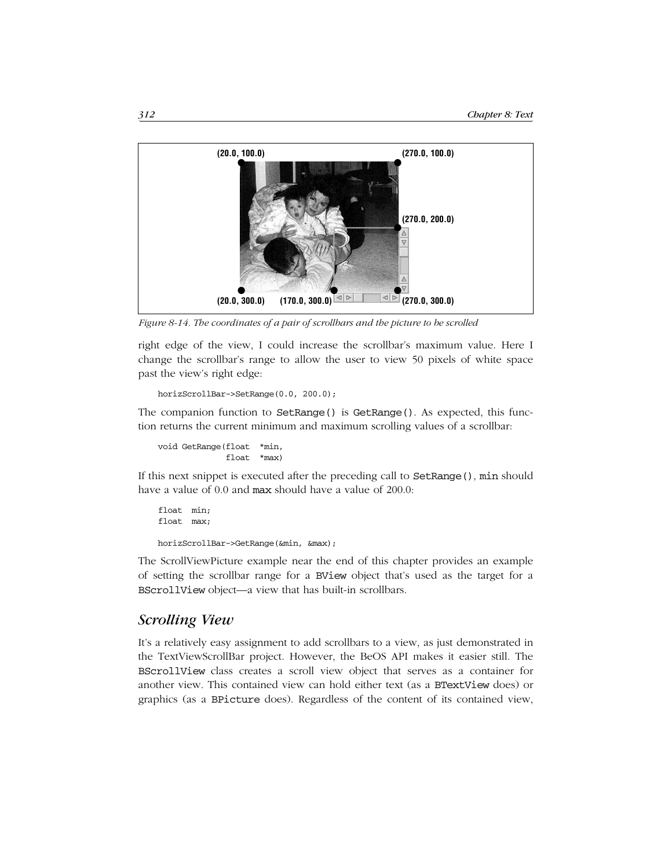

*Figure 8-14. The coordinates of a pair of scrollbars and the picture to be scrolled*

right edge of the view, I could increase the scrollbar's maximum value. Here I change the scrollbar's range to allow the user to view 50 pixels of white space past the view's right edge:

```
horizScrollBar->SetRange(0.0, 200.0);
```
The companion function to SetRange() is GetRange(). As expected, this function returns the current minimum and maximum scrolling values of a scrollbar:

void GetRange(float \*min, float \*max)

If this next snippet is executed after the preceding call to SetRange(), min should have a value of 0.0 and max should have a value of 200.0:

float min; float max;

horizScrollBar->GetRange(&min, &max);

The ScrollViewPicture example near the end of this chapter provides an example of setting the scrollbar range for a BView object that's used as the target for a BScrollView object—a view that has built-in scrollbars.

### *Scrolling View*

It's a relatively easy assignment to add scrollbars to a view, as just demonstrated in the TextViewScrollBar project. However, the BeOS API makes it easier still. The BScrollView class creates a scroll view object that serves as a container for another view. This contained view can hold either text (as a BTextView does) or graphics (as a BPicture does). Regardless of the content of its contained view,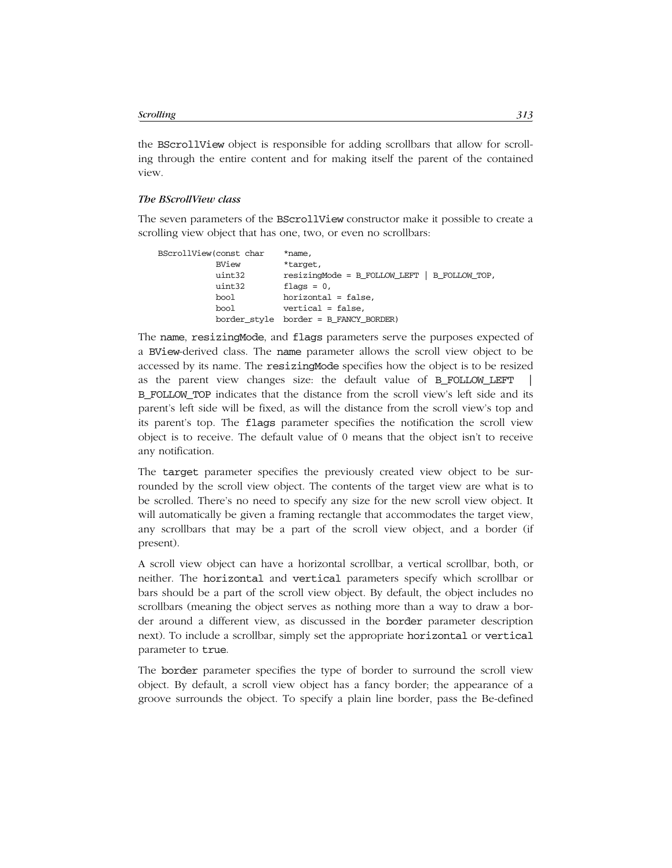the BScrollView object is responsible for adding scrollbars that allow for scrolling through the entire content and for making itself the parent of the contained view.

### *The BScrollView class*

The seven parameters of the BScrollView constructor make it possible to create a scrolling view object that has one, two, or even no scrollbars:

| BScrollView(const char | *name,                                         |
|------------------------|------------------------------------------------|
| BView                  | *target,                                       |
| uint32                 | $resizingMode = B_FOLLOW_LEFT   B_FOLLOW_TOP,$ |
| uint32                 | flags = $0$ ,                                  |
| boo1                   | $horizontal = false$ ,                         |
| boo1                   | $vertical = false$ ,                           |
|                        | border style border = B FANCY BORDER)          |
|                        |                                                |

The name, resizingMode, and flags parameters serve the purposes expected of a BView-derived class. The name parameter allows the scroll view object to be accessed by its name. The resizingMode specifies how the object is to be resized as the parent view changes size: the default value of B\_FOLLOW\_LEFT | B\_FOLLOW\_TOP indicates that the distance from the scroll view's left side and its parent's left side will be fixed, as will the distance from the scroll view's top and its parent's top. The flags parameter specifies the notification the scroll view object is to receive. The default value of 0 means that the object isn't to receive any notification.

The target parameter specifies the previously created view object to be surrounded by the scroll view object. The contents of the target view are what is to be scrolled. There's no need to specify any size for the new scroll view object. It will automatically be given a framing rectangle that accommodates the target view, any scrollbars that may be a part of the scroll view object, and a border (if present).

A scroll view object can have a horizontal scrollbar, a vertical scrollbar, both, or neither. The horizontal and vertical parameters specify which scrollbar or bars should be a part of the scroll view object. By default, the object includes no scrollbars (meaning the object serves as nothing more than a way to draw a border around a different view, as discussed in the border parameter description next). To include a scrollbar, simply set the appropriate horizontal or vertical parameter to true.

The border parameter specifies the type of border to surround the scroll view object. By default, a scroll view object has a fancy border; the appearance of a groove surrounds the object. To specify a plain line border, pass the Be-defined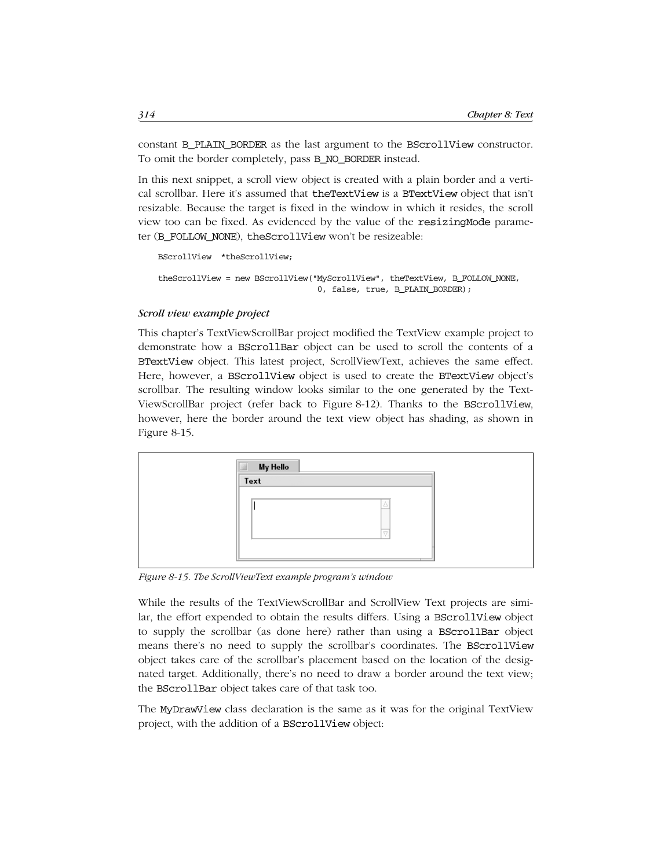constant B\_PLAIN\_BORDER as the last argument to the BScrollView constructor. To omit the border completely, pass B\_NO\_BORDER instead.

In this next snippet, a scroll view object is created with a plain border and a vertical scrollbar. Here it's assumed that theTextView is a BTextView object that isn't resizable. Because the target is fixed in the window in which it resides, the scroll view too can be fixed. As evidenced by the value of the resizingMode parameter (B\_FOLLOW\_NONE), theScrollView won't be resizeable:

```
BScrollView *theScrollView;
theScrollView = new BScrollView("MyScrollView", theTextView, B_FOLLOW_NONE,
                                  0, false, true, B_PLAIN_BORDER);
```
### *Scroll view example project*

This chapter's TextViewScrollBar project modified the TextView example project to demonstrate how a BScrollBar object can be used to scroll the contents of a BTextView object. This latest project, ScrollViewText, achieves the same effect. Here, however, a BScrollView object is used to create the BTextView object's scrollbar. The resulting window looks similar to the one generated by the Text-ViewScrollBar project (refer back to Figure 8-12). Thanks to the BScrollView, however, here the border around the text view object has shading, as shown in Figure 8-15.



*Figure 8-15. The ScrollViewText example program's window*

While the results of the TextViewScrollBar and ScrollView Text projects are similar, the effort expended to obtain the results differs. Using a BScrollView object to supply the scrollbar (as done here) rather than using a BScrollBar object means there's no need to supply the scrollbar's coordinates. The BScrollView object takes care of the scrollbar's placement based on the location of the designated target. Additionally, there's no need to draw a border around the text view; the BScrollBar object takes care of that task too.

The MyDrawView class declaration is the same as it was for the original TextView project, with the addition of a BScrollView object: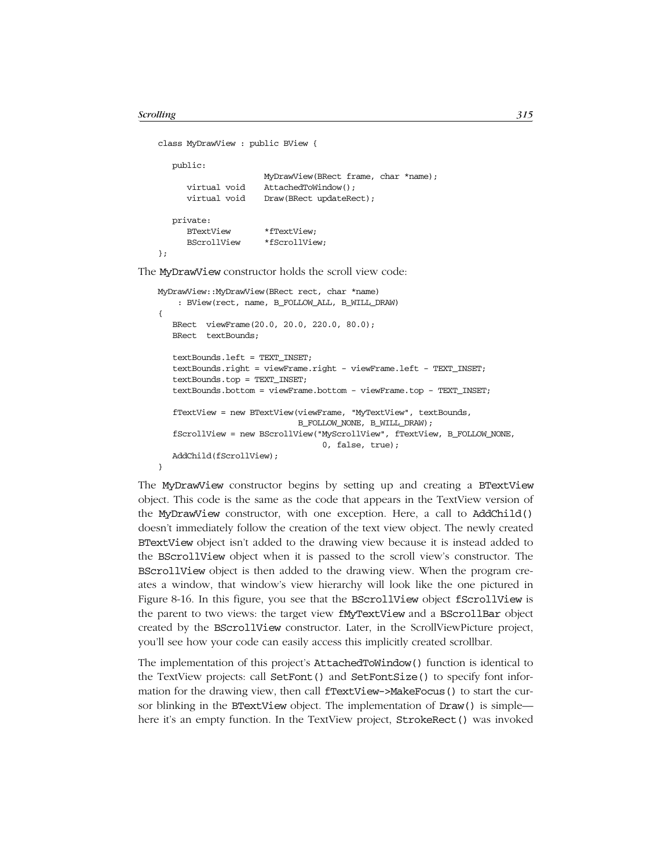```
class MyDrawView : public BView {
   public:
                      MyDrawView(BRect frame, char *name);
     virtual void AttachedToWindow();
     virtual void Draw(BRect updateRect);
   private:
      BTextView *fTextView;
      BScrollView *fScrollView;
};
```
The MyDrawView constructor holds the scroll view code:

```
MyDrawView::MyDrawView(BRect rect, char *name)
     : BView(rect, name, B_FOLLOW_ALL, B_WILL_DRAW)
{
    BRect viewFrame(20.0, 20.0, 220.0, 80.0);
    BRect textBounds;
    textBounds.left = TEXT_INSET;
   textBounds.right = viewFrame.right - viewFrame.left - TEXT_INSET;
    textBounds.top = TEXT_INSET;
    textBounds.bottom = viewFrame.bottom - viewFrame.top - TEXT_INSET;
    fTextView = new BTextView(viewFrame, "MyTextView", textBounds,
                               B_FOLLOW_NONE, B_WILL_DRAW);
    fScrollView = new BScrollView("MyScrollView", fTextView, B_FOLLOW_NONE,
                                    0, false, true);
    AddChild(fScrollView);
}
```
The MyDrawView constructor begins by setting up and creating a BTextView object. This code is the same as the code that appears in the TextView version of the MyDrawView constructor, with one exception. Here, a call to AddChild() doesn't immediately follow the creation of the text view object. The newly created BTextView object isn't added to the drawing view because it is instead added to the BScrollView object when it is passed to the scroll view's constructor. The BScrollView object is then added to the drawing view. When the program creates a window, that window's view hierarchy will look like the one pictured in Figure 8-16. In this figure, you see that the BScrollView object fScrollView is the parent to two views: the target view fMyTextView and a BScrollBar object created by the BScrollView constructor. Later, in the ScrollViewPicture project, you'll see how your code can easily access this implicitly created scrollbar.

The implementation of this project's AttachedToWindow() function is identical to the TextView projects: call SetFont() and SetFontSize() to specify font information for the drawing view, then call frext View->MakeFocus() to start the cursor blinking in the BTextView object. The implementation of Draw() is simple here it's an empty function. In the TextView project, StrokeRect() was invoked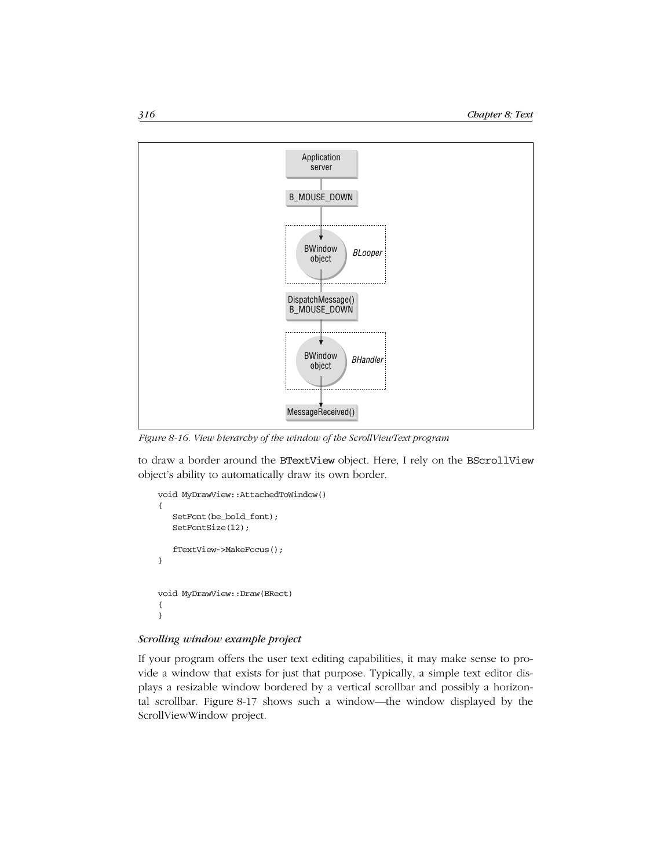

*Figure 8-16. View hierarchy of the window of the ScrollViewText program*

to draw a border around the BTextView object. Here, I rely on the BScrollView object's ability to automatically draw its own border.

```
void MyDrawView::AttachedToWindow()
{
   SetFont(be_bold_font);
    SetFontSize(12);
    fTextView->MakeFocus();
}
void MyDrawView::Draw(BRect)
{
}
```
### *Scrolling window example project*

If your program offers the user text editing capabilities, it may make sense to provide a window that exists for just that purpose. Typically, a simple text editor displays a resizable window bordered by a vertical scrollbar and possibly a horizontal scrollbar. Figure 8-17 shows such a window—the window displayed by the ScrollViewWindow project.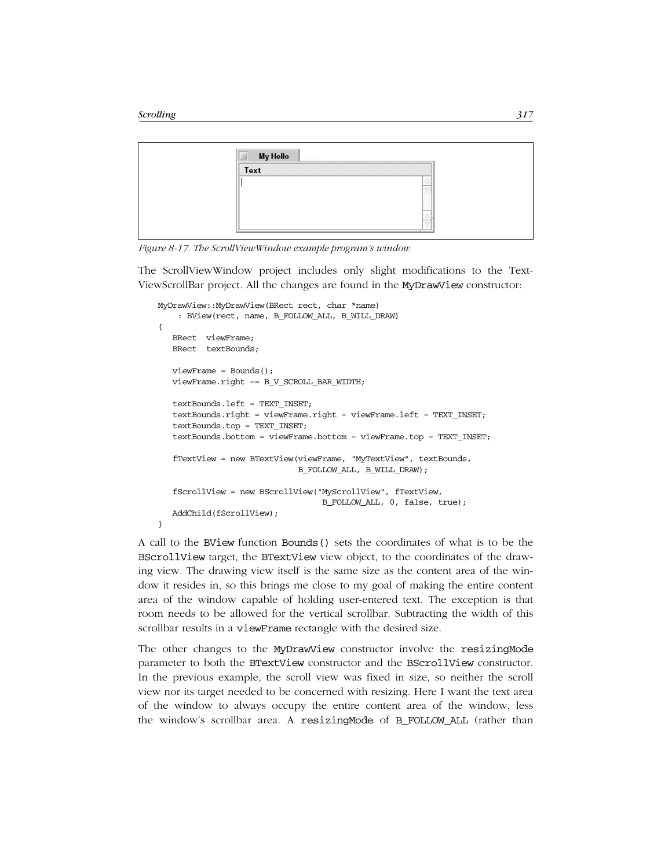*Scrolling 317*

| <b>September</b> | My Hello<br>Text |        |  |
|------------------|------------------|--------|--|
|                  |                  |        |  |
|                  |                  | B<br>7 |  |
|                  |                  | $\sim$ |  |

*Figure 8-17. The ScrollViewWindow example program's window*

The ScrollViewWindow project includes only slight modifications to the Text-ViewScrollBar project. All the changes are found in the MyDrawView constructor:

```
MyDrawView::MyDrawView(BRect rect, char *name)
     : BView(rect, name, B_FOLLOW_ALL, B_WILL_DRAW)
{
    BRect viewFrame;
    BRect textBounds;
    viewFrame = Bounds();
    viewFrame.right -= B_V_SCROLL_BAR_WIDTH;
    textBounds.left = TEXT_INSET;
   textBounds.right = viewFrame.right - viewFrame.left - TEXT_INSET;
    textBounds.top = TEXT_INSET;
    textBounds.bottom = viewFrame.bottom - viewFrame.top - TEXT_INSET;
    fTextView = new BTextView(viewFrame, "MyTextView", textBounds,
                               B_FOLLOW_ALL, B_WILL_DRAW);
    fScrollView = new BScrollView("MyScrollView", fTextView,
                                    B_FOLLOW_ALL, 0, false, true);
    AddChild(fScrollView);
}
```
A call to the BView function Bounds() sets the coordinates of what is to be the BScrollView target, the BTextView view object, to the coordinates of the drawing view. The drawing view itself is the same size as the content area of the window it resides in, so this brings me close to my goal of making the entire content area of the window capable of holding user-entered text. The exception is that room needs to be allowed for the vertical scrollbar. Subtracting the width of this scrollbar results in a viewFrame rectangle with the desired size.

The other changes to the MyDrawView constructor involve the resizingMode parameter to both the BTextView constructor and the BScrollView constructor. In the previous example, the scroll view was fixed in size, so neither the scroll view nor its target needed to be concerned with resizing. Here I want the text area of the window to always occupy the entire content area of the window, less the window's scrollbar area. A resizingMode of B\_FOLLOW\_ALL (rather than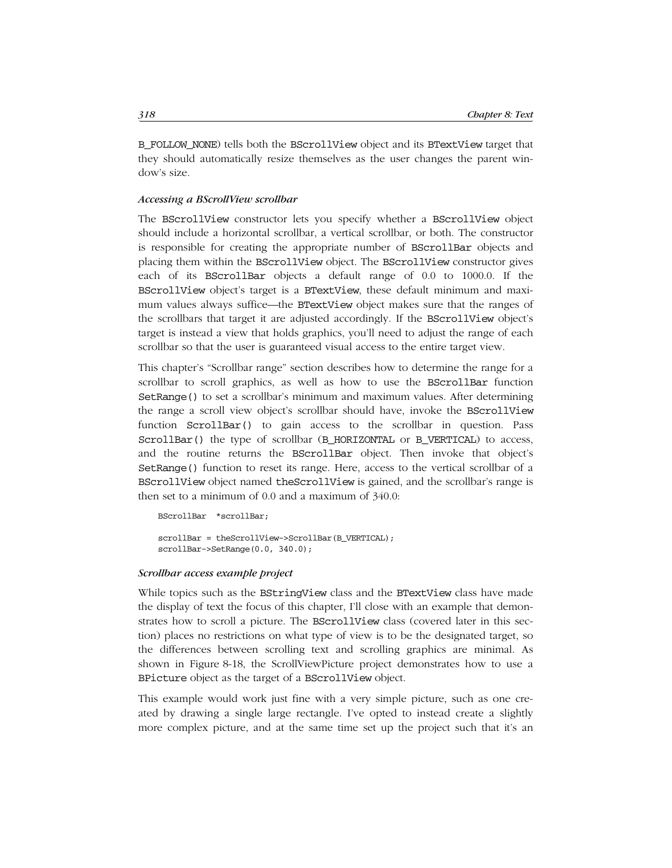B\_FOLLOW\_NONE) tells both the BScrollView object and its BTextView target that they should automatically resize themselves as the user changes the parent window's size.

### *Accessing a BScrollView scrollbar*

The BScrollView constructor lets you specify whether a BScrollView object should include a horizontal scrollbar, a vertical scrollbar, or both. The constructor is responsible for creating the appropriate number of BScrollBar objects and placing them within the BScrollView object. The BScrollView constructor gives each of its BScrollBar objects a default range of 0.0 to 1000.0. If the BScrollView object's target is a BTextView, these default minimum and maximum values always suffice—the BTextView object makes sure that the ranges of the scrollbars that target it are adjusted accordingly. If the BScrollView object's target is instead a view that holds graphics, you'll need to adjust the range of each scrollbar so that the user is guaranteed visual access to the entire target view.

This chapter's "Scrollbar range" section describes how to determine the range for a scrollbar to scroll graphics, as well as how to use the BScrollBar function SetRange() to set a scrollbar's minimum and maximum values. After determining the range a scroll view object's scrollbar should have, invoke the BScrollView function ScrollBar() to gain access to the scrollbar in question. Pass ScrollBar() the type of scrollbar (B\_HORIZONTAL or B\_VERTICAL) to access, and the routine returns the BScrollBar object. Then invoke that object's SetRange() function to reset its range. Here, access to the vertical scrollbar of a BScrollView object named theScrollView is gained, and the scrollbar's range is then set to a minimum of 0.0 and a maximum of 340.0:

```
BScrollBar *scrollBar;
```

```
scrollBar = theScrollView->ScrollBar(B_VERTICAL);
scrollBar->SetRange(0.0, 340.0);
```
### *Scrollbar access example project*

While topics such as the BStringView class and the BTextView class have made the display of text the focus of this chapter, I'll close with an example that demonstrates how to scroll a picture. The BScrollView class (covered later in this section) places no restrictions on what type of view is to be the designated target, so the differences between scrolling text and scrolling graphics are minimal. As shown in Figure 8-18, the ScrollViewPicture project demonstrates how to use a BPicture object as the target of a BScrollView object.

This example would work just fine with a very simple picture, such as one created by drawing a single large rectangle. I've opted to instead create a slightly more complex picture, and at the same time set up the project such that it's an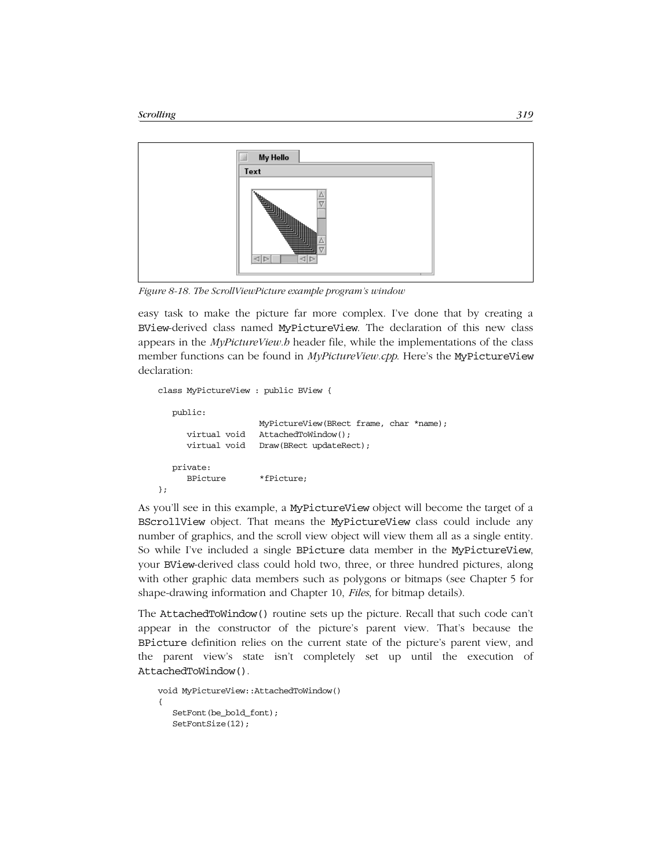

*Figure 8-18. The ScrollViewPicture example program's window*

easy task to make the picture far more complex. I've done that by creating a BView-derived class named MyPictureView. The declaration of this new class appears in the *MyPictureView.h* header file, while the implementations of the class member functions can be found in *MyPictureView.cpp*. Here's the MyPictureView declaration:

```
class MyPictureView : public BView {
    public:
                     MyPictureView(BRect frame, char *name);
     virtual void AttachedToWindow();
     virtual void Draw(BRect updateRect);
    private:
      BPicture *fPicture;
};
```
As you'll see in this example, a MyPictureView object will become the target of a BScrollView object. That means the MyPictureView class could include any number of graphics, and the scroll view object will view them all as a single entity. So while I've included a single BPicture data member in the MyPictureView, your BView-derived class could hold two, three, or three hundred pictures, along with other graphic data members such as polygons or bitmaps (see Chapter 5 for shape-drawing information and Chapter 10, *Files*, for bitmap details).

The AttachedToWindow() routine sets up the picture. Recall that such code can't appear in the constructor of the picture's parent view. That's because the BPicture definition relies on the current state of the picture's parent view, and the parent view's state isn't completely set up until the execution of AttachedToWindow().

```
void MyPictureView::AttachedToWindow()
{
    SetFont(be_bold_font);
    SetFontSize(12);
```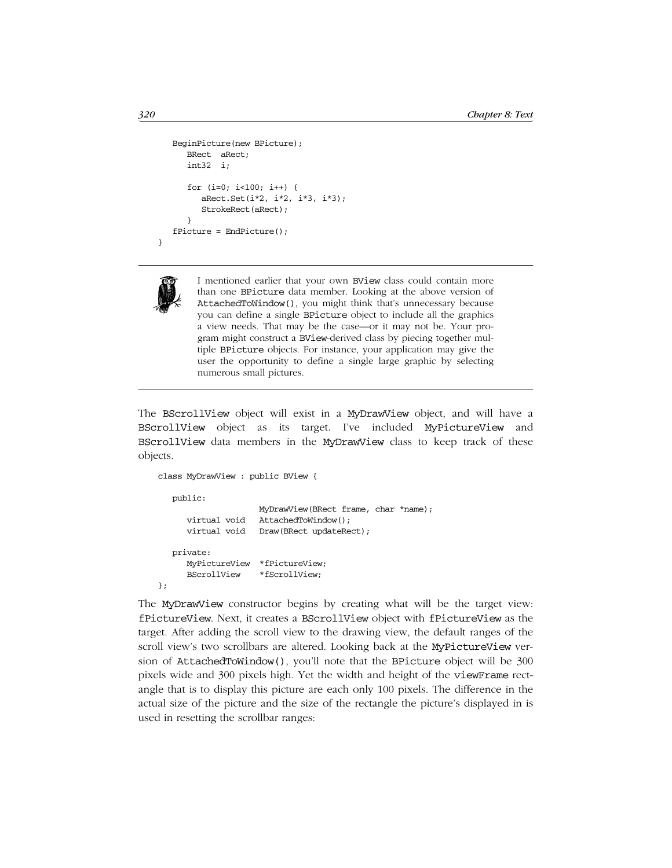```
 BeginPicture(new BPicture);
       BRect aRect;
       int32 i;
       for (i=0; i<100; i++) {
          aRect.Set(i*2, i*2, i*3, i*3);
          StrokeRect(aRect);
       }
    fPicture = EndPicture();
}
```


I mentioned earlier that your own BView class could contain more than one BPicture data member. Looking at the above version of AttachedToWindow(), you might think that's unnecessary because you can define a single BPicture object to include all the graphics a view needs. That may be the case—or it may not be. Your program might construct a BView-derived class by piecing together multiple BPicture objects. For instance, your application may give the user the opportunity to define a single large graphic by selecting numerous small pictures.

The BScrollView object will exist in a MyDrawView object, and will have a BScrollView object as its target. I've included MyPictureView and BScrollView data members in the MyDrawView class to keep track of these objects.

```
class MyDrawView : public BView {
   public:
                      MyDrawView(BRect frame, char *name);
       virtual void AttachedToWindow();
      virtual void Draw(BRect updateRect);
    private:
       MyPictureView *fPictureView;
       BScrollView *fScrollView;
};
```
The MyDrawView constructor begins by creating what will be the target view: fPictureView. Next, it creates a BScrollView object with fPictureView as the target. After adding the scroll view to the drawing view, the default ranges of the scroll view's two scrollbars are altered. Looking back at the MyPictureView version of AttachedToWindow(), you'll note that the BPicture object will be 300 pixels wide and 300 pixels high. Yet the width and height of the viewFrame rectangle that is to display this picture are each only 100 pixels. The difference in the actual size of the picture and the size of the rectangle the picture's displayed in is used in resetting the scrollbar ranges: